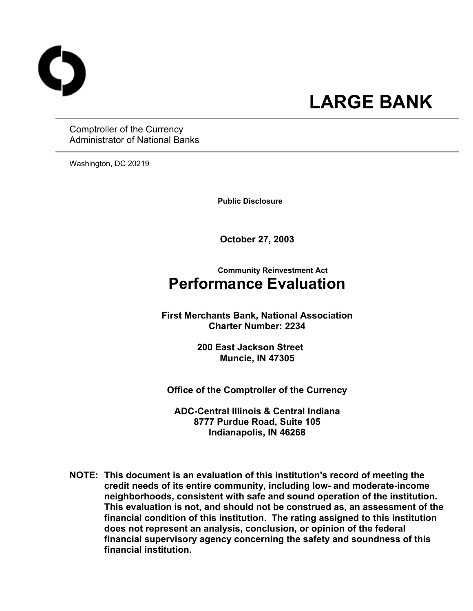

# **LARGE BANK**

Comptroller of the Currency Administrator of National Banks

Washington, DC 20219

 **Public Disclosure** 

**October 27, 2003** 

## **Community Reinvestment Act Performance Evaluation**

**First Merchants Bank, National Association Charter Number: 2234** 

> **200 East Jackson Street Muncie, IN 47305**

**Office of the Comptroller of the Currency** 

**ADC-Central Illinois & Central Indiana 8777 Purdue Road, Suite 105 Indianapolis, IN 46268** 

**NOTE: This document is an evaluation of this institution's record of meeting the credit needs of its entire community, including low- and moderate-income neighborhoods, consistent with safe and sound operation of the institution.** **This evaluation is not, and should not be construed as, an assessment of the financial condition of this institution. The rating assigned to this institution does not represent an analysis, conclusion, or opinion of the federal financial supervisory agency concerning the safety and soundness of this financial institution.**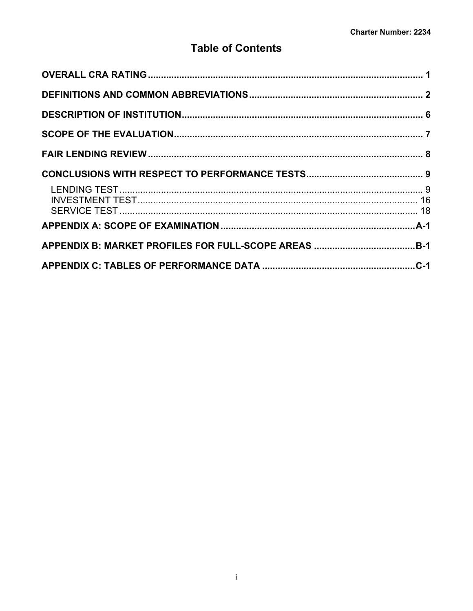## **Table of Contents**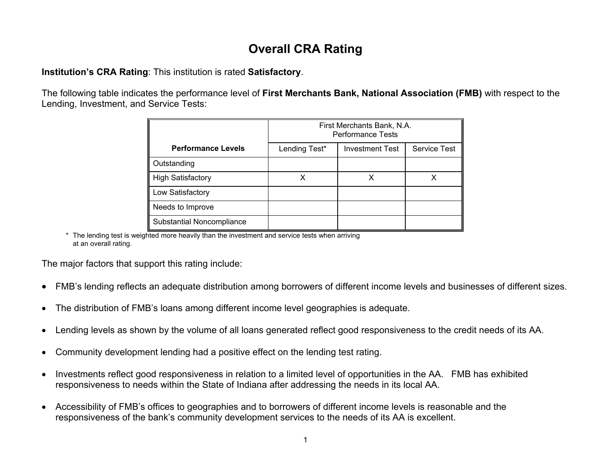## **Overall CRA Rating**

**Institution's CRA Rating**: This institution is rated **Satisfactory**.

The following table indicates the performance level of **First Merchants Bank, National Association (FMB)** with respect to the Lending, Investment, and Service Tests:

|                           | First Merchants Bank, N.A.<br><b>Performance Tests</b> |                        |                     |  |  |  |  |  |  |  |
|---------------------------|--------------------------------------------------------|------------------------|---------------------|--|--|--|--|--|--|--|
| <b>Performance Levels</b> | Lending Test*                                          | <b>Investment Test</b> | <b>Service Test</b> |  |  |  |  |  |  |  |
| Outstanding               |                                                        |                        |                     |  |  |  |  |  |  |  |
| <b>High Satisfactory</b>  |                                                        |                        |                     |  |  |  |  |  |  |  |
| Low Satisfactory          |                                                        |                        |                     |  |  |  |  |  |  |  |
| Needs to Improve          |                                                        |                        |                     |  |  |  |  |  |  |  |
| Substantial Noncompliance |                                                        |                        |                     |  |  |  |  |  |  |  |

\* The lending test is weighted more heavily than the investment and service tests when arriving at an overall rating.

The major factors that support this rating include:

- FMB's lending reflects an adequate distribution among borrowers of different income levels and businesses of different sizes.
- The distribution of FMB's loans among different income level geographies is adequate.
- Lending levels as shown by the volume of all loans generated reflect good responsiveness to the credit needs of its AA.
- Community development lending had a positive effect on the lending test rating.
- Investments reflect good responsiveness in relation to a limited level of opportunities in the AA. FMB has exhibited responsiveness to needs within the State of Indiana after addressing the needs in its local AA.
- <span id="page-2-0"></span>• Accessibility of FMB's offices to geographies and to borrowers of different income levels is reasonable and the responsiveness of the bank's community development services to the needs of its AA is excellent.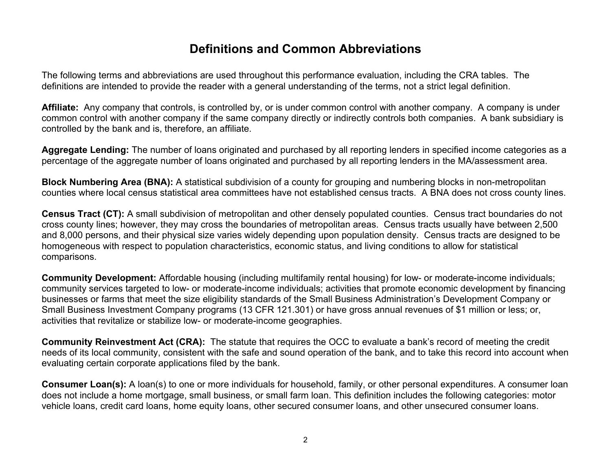## **Definitions and Common Abbreviations**

The following terms and abbreviations are used throughout this performance evaluation, including the CRA tables. The definitions are intended to provide the reader with a general understanding of the terms, not a strict legal definition.

**Affiliate:** Any company that controls, is controlled by, or is under common control with another company. A company is under common control with another company if the same company directly or indirectly controls both companies. A bank subsidiary is controlled by the bank and is, therefore, an affiliate.

**Aggregate Lending:** The number of loans originated and purchased by all reporting len ders in specified income categories as a percentage of the aggregate number of loans originated and purchased by all reporting lenders in the MA/assessment area.

**Block Numbering Area (BNA):** A statistical subdivision of a county for grouping and numbering blocks in non-metropolitan counties where local census statistical area committees have not established census tracts. A BNA does not cross county lines.

**Census Tract (CT):** A small subdivision of metropolitan and other densely populated counties. Census tract boundaries do not cross county lines; however, they may cross the boundaries of metropolitan areas. Census tracts usually hav e between 2,500 and 8,000 persons, and their physical size varies widely depending upon population density. Census tracts are designed to be homogeneous with respect to population characteristics, economic status, and living conditions to allow for statistical comparisons.

**Community Development:** Affordable housing (including multifamily rental housing) for low- or moderate-income individuals; community services targeted to low- or moderate-income individuals; activities that promote economic development by financing businesses or farms that meet the size eligibility standards of the Small Business Administration's Development Company or Small Business Investment Company programs (13 C FR 121.301) or have gross annual revenue s of \$1 million or less; or, activities that revitalize or stabilize low- or moderate-income geographies.

**Community Reinvestment Act (CRA):** The statute that requires the OCC to evaluate a bank's record of meeting the credit needs of its local community, consistent with the safe and sound operation of the bank, and to take this record into account when evaluating certain corporate applications filed by the bank.

<span id="page-3-0"></span>**Consumer Loan(s):** A loan(s) to one or more individuals for household, family, or other personal expenditures. A consumer loan does not include a home mortgage, small business, or small farm loan. This definition includes the following categories: motor vehicle loans, credit card loans, home equity loans, other secured consumer loans, and other unsecured consumer loans.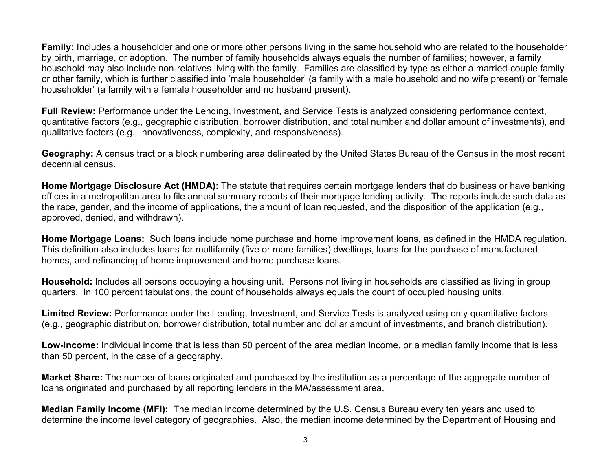**Family:** Includes a householder and one or more other persons living in the same household who are related to the householder by birth, marriage, or adoption. The number of family households always equals the number of families; however, a family household may also include non-relatives living with the family. Families are classified by type as either a married-couple family or other family, which is further classified into 'male householder' (a family with a male household and no wife present) or 'female householder' (a family with a female householder and no husband present).

**Full Review:** Performance under the Lending, Investment, and Service Tests is analyzed considering performance context, quantitative factors (e.g., geographic distribution, borrower distribution, and total number and dollar amount of investments), and qualitative factors (e.g., innovativeness, complexity, and responsiveness).

**Geography:** A census tract or a block numbering area delineated by the United States Bureau of the Census in the most recent decennial census.

**Home Mortgage Disclosure Act (HMDA):** The statute that requires certain mortgage lenders that do business or have banking offices in a metropolitan area to file annual summary reports of their mortgage lending activity. The reports include such data as the race, gender, and the income of applications, the amount of loan requested, and the disposition of the application (e.g., approved, denied, and withdrawn).

**Home Mortgage Loans:** Such loans include home purchase and home improvement loans, as defined in the HMDA regulation. This definition also includes loans for multifamily (five or more families) dwellings, loans for the purchase of manufactured homes, and refinancing of home improvement and home purchase loans.

**Household:** Includes all persons occupying a housing unit. Persons not living in households are classified as living in group quarters. In 100 percent tabulations, the count of households always equals the count of occupied housing units.

Limited Review: Performance under the Lending, Investment, and Service Tests is analyzed using only quantitative factors (e.g., geographic distribution, borrower distribution, total number and dollar amount of investments, and branch distribution).

**Low-Income:** Individual income that is less than 50 percent of the area median income, or a median family income that is less than 50 percent, in the case of a geography.

**Market Share:** The number of loans originated and purchased by the institution as a percentage of the aggregate number of loans originated and purchased by all reporting lenders in the MA/assessment area.

**Median Family Income (MFI):** The median income determined by the U.S. Census Bureau every ten years and used to determine the income level category of geographies. Also, the median income determined by the Department of Housing and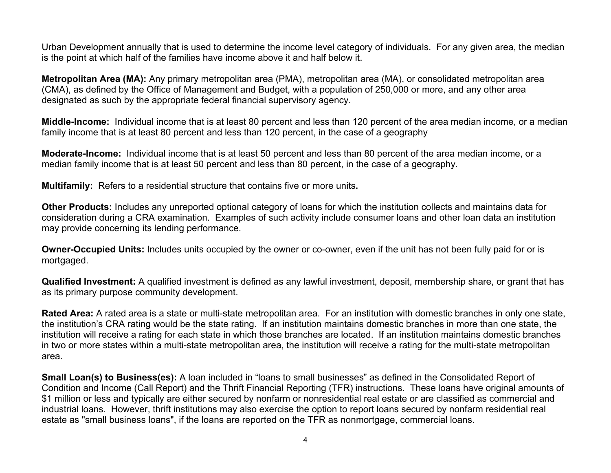Urban Development annually that is used to determine the income level category of individuals. For any given area, the median is the point at which half of the families have income above it and half below it.

**Metropolitan Area (MA):** Any primary metropolitan area (PMA), metropolitan area (MA), or consolidated metropolitan area (CMA), as defined by the Office of Management and Budget, with a population of 250,000 or more, and any other area designated as such by the appropriate federal financial supervisory agency.

**Middle-Income:** Individual income that is at least 80 percent and less than 120 percent of the area median income, or a median family income that is at least 80 percent and less than 120 percent, in the case of a geography

**Moderate-Income:** Individual income that is at least 50 percent and less than 80 percent of the area median income, or a median family income that is at least 50 percent and less than 80 percent, in the case of a geography.

**Multifamily:** Refers to a residential structure that contains five or more units**.**

**Other Products:** Includes any unreported optional category of loans for which the institution collects and maintains data for consideration during a CRA examination. Examples of such activity include consumer loans and other loan data an institution may provide concerning its lending performance.

**Owner-Occupied Units:** Includes units occupied by the owner or co-owner, even if the unit has not been fully paid for or is mortgaged.

**Qualified Investment:** A qualified investment is defined as any lawful investment, deposit, membership share, or grant that has as its primary purpose community development.

**Rated Area:** A rated area is a state or multi-state metropolitan area. For an institution with domestic branches in only one state, the institution's CRA rating would be the state rating. If an institution maintains domestic branches in more than one state, the institution will receive a rating for each state in which those branches are located. If an institution maintains domestic branches in two or more states within a multi-state metropolitan area, the institution will receive a rating for the multi-state metropolitan area.

**Small Loan(s) to Business(es):** A loan included in "loans to small businesses" as defined in the Consolidated Report of Condition and Income (Call Report) and the Thrift Financial Reporting (TFR) instructions. These loans have original amounts of \$1 million or less and typically are either secured by nonfarm or nonresidential real estate or are classified as commercial and industrial loans. However, thrift institutions may also exercise the option to report loans secured by nonfarm residential real estate as "small business loans", if the loans are reported on the TFR as nonmortgage, commercial loans.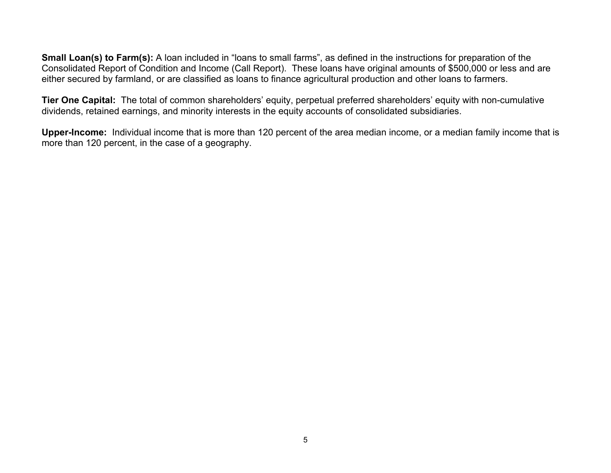**Small Loan(s) to Farm(s):** A loan included in "loans to small farms", as defined in the instructions for preparation of the Consolidated Report of Condition and Income (Call Report). These loans have original amounts of \$500,000 or less and are either secured by farmland, or are classified as loans to finance agricultural production and other loans to farmers.

**Tier One Capital:** The total of common shareholders' equity, perpetual preferred shareholders' equity with non-cumulative dividends, retained earnings, and minority interests in the equity accounts of consolidated subsidiaries.

**Upper-Income:** Individual income that is more than 120 percent of the area median income, or a median family income that is more than 120 percent, in the case of a geography.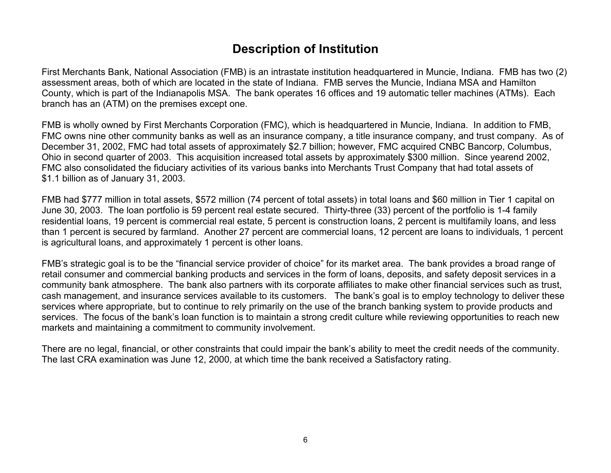## **Description of Institution**

First Merchants Bank, National Association (FMB) is an intrastate institution headquartered in Muncie, Indiana. FMB has two (2) assessment areas, both of which are located in the state of Indiana. FMB serves the Muncie, Indiana MSA and Hamilton County, which is part of the Indianapolis MSA. The bank operates 16 offices and 19 automatic teller machines (ATMs). Each branch has an (ATM) on the premises except one.

FMB is wholly owned by First Merchants Corporation (FMC), which is headquartered in Muncie, Indiana. In addition to FMB, FMC owns nine other community banks as well as an insurance company, a title insurance company, and trust company. As of December 31, 2002, FMC had total assets of approximately \$2.7 billion; however, FMC acquired CNBC Bancorp, Columbus, Ohio in second quarter of 2003. This acquisition increased total assets by approximately \$300 million. Since yearend 2002, FMC also consolidated the fiduciary activities of its various banks into Merchants Trust Company that had total assets of \$1.1 billion as of January 31, 2003.

FMB had \$777 million in total assets, \$572 million (74 percent of total assets) in total loans and \$60 million in Tier 1 capital on June 30, 2003. The loan portfolio is 59 percent real estate secured. Thirty-three (33) percent of the portfolio is 1-4 family residential loans, 19 percent is commercial real estate, 5 percent is construction loans, 2 percent is multifamily loans, and less than 1 percent is secured by farmland. Another 27 percent are commercial loans, 12 percent are loans to individuals, 1 percent is agricultural loans, and approximately 1 percent is other loans.

FMB's strategic goal is to be the "financial service provider of choice" for its market area. The bank provides a broad range of retail consumer and commercial banking products and services in the form of loans, deposits, and safety deposit services in a community bank atmosphere. The bank also partners with its corporate affiliates to make other financial services such as trust, cash management, and insurance services available to its customers. The bank's goal is to employ technology to deliver these services where appropriate, but to continue to rely primarily on the use of the branch banking system to provide products and services. The focus of the bank's loan function is to maintain a strong credit culture while reviewing opportunities to reach new markets and maintaining a commitment to community involvement.

<span id="page-7-0"></span>There are no legal, financial, or other constraints that could impair the bank's ability to meet the credit needs of the community. The last CRA examination was June 12, 2000, at which time the bank received a Satisfactory rating.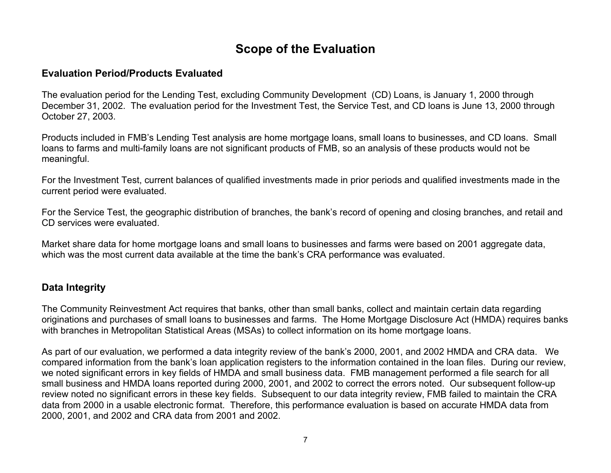## **Scope of the Evaluation**

## **Evaluation Period/Products Evaluated**

The evaluation period for the Lending Test, excluding Community Development (CD) Loans, is January 1, 2000 through December 31, 2002. The evaluation period for the Investment Test, the Service Test, and CD loans is June 13, 2000 through October 27, 2003.

Products included in FMB's Lending Test analysis are home mortgage loans, small loans to businesses, and CD loans. Small loans to farms and multi-family loans are not significant products of FMB, so an analysis of these products would not be meaningful.

For the Investment Test, current balances of qualified investments made in prior periods and qualified investments made in the current period were evaluated.

For the Service Test, the geographic distribution of branches, the bank's record of opening and closing branches, and retail and CD services were evaluated.

Market share data for home mortgage loans and small loans to businesses and farms were based on 2001 aggregate data, which was the most current data available at the time the bank's CRA performance was evaluated.

## **Data Integrity**

The Community Reinvestment Act requires that banks, other than small banks, collect and maintain certain data regarding originations and purchases of small loans to businesses and farms. The Home Mortgage Disclosure Act (HMDA) requires banks with branches in Metropolitan Statistical Areas (MSAs) to collect information on its home mortgage loans.

<span id="page-8-0"></span>As part of our evaluation, we performed a data integrity review of the bank's 2000, 2001, and 2002 HMDA and CRA data. We compared information from the bank's loan application registers to the information contained in the loan files. During our review, we noted significant errors in key fields of HMDA and small business data. FMB management performed a file search for all small business and HMDA loans reported during 2000, 2001, and 2002 to correct the errors noted. Our subsequent follow-up review noted no significant errors in these key fields. Subsequent to our data integrity review, FMB failed to maintain the CRA data from 2000 in a usable electronic format. Therefore, this performance evaluation is based on accurate HMDA data from 2000, 2001, and 2002 and CRA data from 2001 and 2002.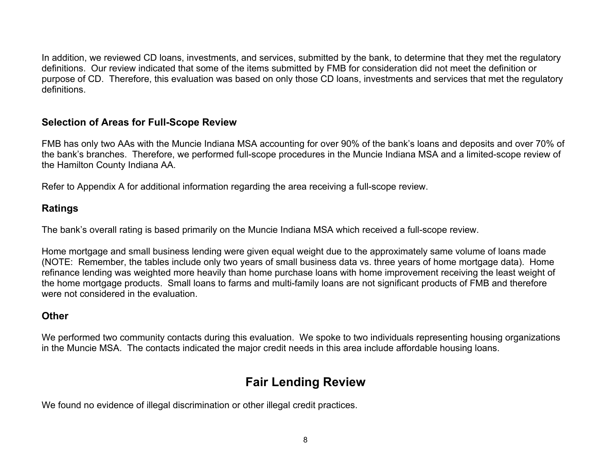In addition, we reviewed CD loans, investments, and services, submitted by the bank, to determine that they met the regulatory definitions. Our review indicated that some of the items submitted by FMB for consideration did not meet the definition or purpose of CD. Therefore, this evaluation was based on only those CD loans, investments and services that met the regulatory definitions.

## **Selection of Areas for Full-Scope Review**

FMB has only two AAs with the Muncie Indiana MSA accounting for over 90% of the bank's loans and deposits and over 70% of the bank's branches. Therefore, we performed full-scope procedures in the Muncie Indiana MSA and a limited-scope review of the Hamilton County Indiana AA.

Refer to Appendix A for additional information regarding the area receiving a full-scope review.

## **Ratings**

The bank's overall rating is based primarily on the Muncie Indiana MSA which received a full-scope review.

Home mortgage and small business lending were given equal weight due to the approximately same volume of loans made (NOTE: Remember, the tables include only two years of small business data vs. three years of home mortgage data). Home refinance lending was weighted more heavily than home purchase loans with home improvement receiving the least weight of the home mortgage products. Small loans to farms and multi-family loans are not significant products of FMB and therefore were not considered in the evaluation.

## **Other**

We performed two community contacts during this evaluation. We spoke to two individuals representing housing organizations in the Muncie MSA. The contacts indicated the major credit needs in this area include affordable housing loans.

## **Fair Lending Review**

<span id="page-9-0"></span>We found no evidence of illegal discrimination or other illegal credit practices.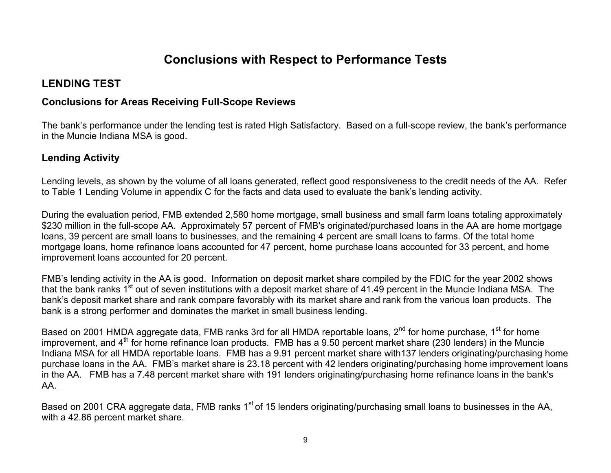## **Conclusions with Respect to Performance Tests**

## **LENDING TEST**

## **Concl usions for Areas Receiving Full-Scope Revie ws**

The bank's performance under the lending test is rated High Satisfactory. Based on a full-scope review, the bank's performance in the Muncie Indiana MSA is good.

## **Lending Activity**

Lending lev els, as shown by the volume of all loans generated, reflect good responsiveness to the credit needs of the AA. Refer to Table 1 Lending Volume in appendix C for the facts and data used to evaluate the bank's lending activity.

During the evaluation period, FMB extended 2,580 home mortgage, small business and small farm loans totaling approximately \$230 million in the full-scope AA. Approximately 57 percent of FMB's originated/purchased loans in the AA are home mortgage loans, 39 percent are small loans to businesses, and the remaining 4 percent are small loans to farms. Of the total home mortgage loans, home refinance loans accounted for 47 percent, home purchase loans accounted for 33 percent, and home improvement loans accounted for 20 percent.

FMB's lending activity in the AA is good. Information on deposit market share compiled by the FDIC for the year 2002 shows that the bank ranks 1<sup>st</sup> out of seven institutions with a deposit market share of 41.49 percent in the Muncie Indiana MSA. The bank's deposit market share and rank compare favorably with its market share and rank from the various loan products. The bank is a strong performer and dominates the market in small business lending.

Based on 2001 HMDA aggregate data, FMB ranks 3rd for all HMDA reportable loans, 2<sup>nd</sup> for home purchase, 1<sup>st</sup> for home improvement, and 4<sup>th</sup> for home refinance loan products. FMB has a 9.50 percent market share (230 lenders) in the Muncie Indiana MSA for all HMDA reportable loans. FMB has a 9.91 percent market share with137 lenders originating/purchasing home purchase loans in the AA. FMB's market share is 23.18 percent with 42 lenders originating/purchasing hom e improvement loans in the AA. FMB has a 7.48 percent market share with 191 lenders originating/purchasing home refinance loans in the bank' s AA.

<span id="page-10-0"></span>Based on 2001 CRA aggregate data, FMB ranks 1<sup>st</sup> of 15 lenders originating/purchasing small loans to businesses in the AA, with a 42.86 percent market share.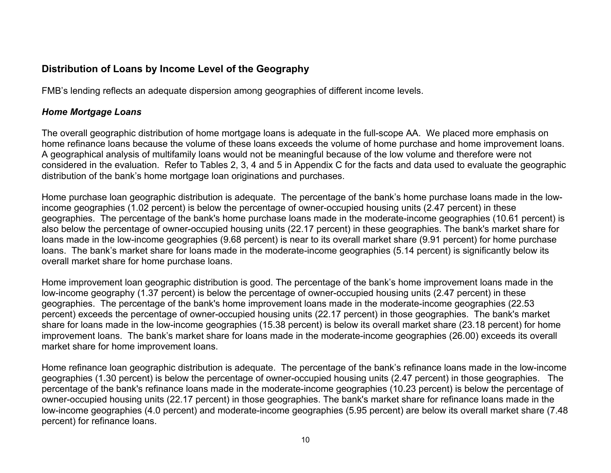## **Distribution of Loans by Income Level of the Geography**

FMB's lending reflects an adequate dispersion among geographies of different income levels.

### *Home Mortgage Loans*

The overall geographic distribution of home mortgage loans is adequate in the full-scope AA. We placed more emphasis on home refinance loans because the volume of these loans exceeds the volume of home purchase and home improvement loans. A geographical analysis of multifamily loans would not be meaningful because of the low volume and therefore were not considered in the evaluation. Refer to Tables 2, 3, 4 and 5 in Appendix C for the facts and data used to evaluate the geographic distribution of the bank's home mortgage loan originations and purchases.

Home purchase loan geographic distribution is adequate. The percentage of the bank's home purchase loans made in the lowincome geographies (1.02 percent) is below the percentage of owner-occupied housing units (2.47 percent) in these geographies. The percentage of the bank's home purchase loans made in the moderate-income geographies (10.61 percent) is also below the percentage of owner-occupied housing units (22.17 percent) in these geographies. The bank's market share for loans made in the low-income geographies (9.68 percent) is near to its overall market share (9.91 percent) for home purchase loans. The bank's market share for loans made in the moderate-income geographies (5.14 percent) is significantly below its overall market share for home purchase loans.

Home improvement loan geographic distribution is good. The percentage of the bank's home improvement loans made in the low-income geography (1.37 percent) is below the percentage of owner-occupied housing units (2.47 percent) in these geographies. The percentage of the bank's home improvement loans made in the moderate-income geographies (22.53 percent) exceeds the percentage of owner-occupied housing units (22.17 percent) in those geographies. The bank's market share for loans made in the low-income geographies (15.38 percent) is below its overall market share (23.18 percent) for home improvement loans. The bank's market share for loans made in the moderate-income geographies (26.00) exceeds its overall market share for home improvement loans.

Home refinance loan geographic distribution is adequate. The percentage of the bank's refinance loans made in the low-income geographies (1.30 percent) is below the percentage of owner-occupied housing units (2.47 percent) in those geographies. The percentage of the bank's refinance loans made in the moderate-income geographies (10.23 percent) is below the percentage of owner-occupied housing units (22.17 percent) in those geographies. The bank's market share for refinance loans made in the low-income geographies (4.0 percent) and moderate-income geographies (5.95 percent) are below its overall market share (7.48 percent) for refinance loans.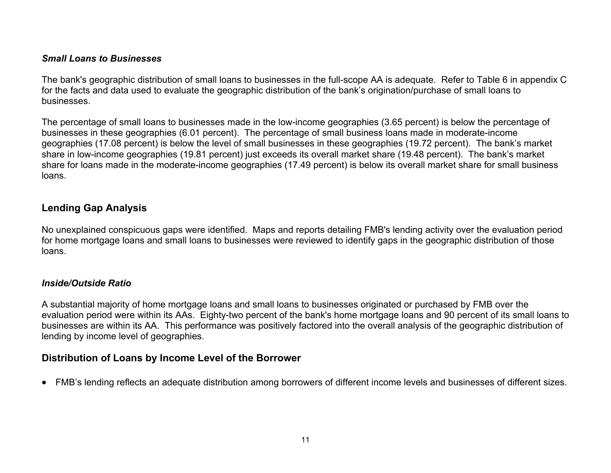### *Small Loans to Businesses*

The bank's geographic distribution of small loans to businesses in the full-scope AA is adequate. Refer to Table 6 in appendix C for the facts and data used to evaluate the geographic distribution of the bank's origination/purchase of small loans to businesses.

The percentage of small loans to businesses made in the low-income geographies (3.65 percent) is below the percentage of businesses in these geographies (6.01 percent). The percentage of small business loans made in moderate-income geographies (17.08 percent) is below the level of small businesses in these geographies (19.72 percent). The bank's market share in low-income geographies (19.81 percent) just exceeds its overall market share (19.48 percent). The bank's market share for loans made in the moderate-income geographies (17.49 percent) is below its overall market share for small business loans.

## **Lending Gap Analysis**

No unexplained conspicuous gaps were identified. Maps and reports detailing FMB's lending activity over the evaluation period for home mortgage loans and small loans to businesses were reviewed to identify gaps in the geographic distribution of those loans.

### *Inside/Outside Ratio*

A substantial majority of home mortgage loans and small loans to businesses originated or purchased by FMB over the evaluation period were within its AAs. Eighty-two percent of the bank's home mortgage loans and 90 percent of its small loans to businesses are within its AA. This performance was positively factored into the overall analysis of the geographic distribution of lending by income level of geographies.

## **Distribution of Loans by Income Level of the Borrower**

• FMB's lending reflects an adequate distribution among borrowers of different income levels and businesses of different sizes.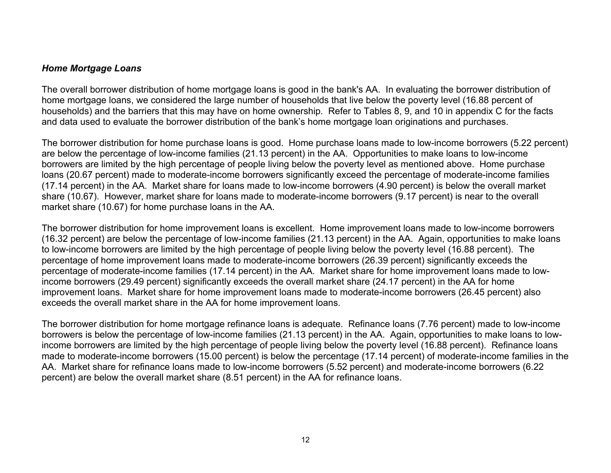### *Home Mortgage Loans*

The overall borrower distribution of home mortgage loans is good in the bank's AA. In evaluating the borrower distribution of home mortgage loans, we considered the large number of households that live below the poverty level (16.88 percent of households) and the barriers that this may have on home ownership. Refer to Tables 8, 9, and 10 in appendix C for the facts and data used to evaluate the borrower distribution of the bank's home mortgage loan originations and purchases.

The borrower distribution for home purchase loans is good. Home purchase loans made to low-income borrowers (5.22 percent) are below the percentage of low-income families (21.13 percent) in the AA. Opportunities to make loans to low-income borrowers are limited by the high percentage of people living below the poverty level as mentioned above. Home purchase loans (20.67 percent) made to moderate-income borrowers significantly exceed the percentage of moderate-income families (17.14 percent) in the AA. Market share for loans made to low-income borrowers (4.90 percent) is below the overall market share (10.67). However, market share for loans made to moderate-income borrowers (9.17 percent) is near to the overall market share (10.67) for home purchase loans in the AA.

The borrower distribution for home improvement loans is excellent. Home improvement loans made to low-income borrowers (16.32 percent) are below the percentage of low-income families (21.13 percent) in the AA. Again, opportunities to make loans to low-income borrowers are limited by the high percentage of people living below the poverty level (16.88 percent). The percentage of home improvement loans made to moderate-income borrowers (26.39 percent) significantly exceeds the percentage of moderate-income families (17.14 percent) in the AA. Market share for home improvement loans made to lowincome borrowers (29.49 percent) significantly exceeds the overall market share (24.17 percent) in the AA for home improvement loans. Market share for home improvement loans made to moderate-income borrowers (26.45 percent) also exceeds the overall market share in the AA for home improvement loans.

The borrower distribution for home mortgage refinance loans is adequate. Refinance loans (7.76 percent) made to low-income borrowers is below the percentage of low-income families (21.13 percent) in the AA. Again, opportunities to make loans to lowincome borrowers are limited by the high percentage of people living below the poverty level (16.88 percent). Refinance loans made to moderate-income borrowers (15.00 percent) is below the percentage (17.14 percent) of moderate-income families in the AA. Market share for refinance loans made to low-income borrowers (5.52 percent) and moderate-income borrowers (6.22 percent) are below the overall market share (8.51 percent) in the AA for refinance loans.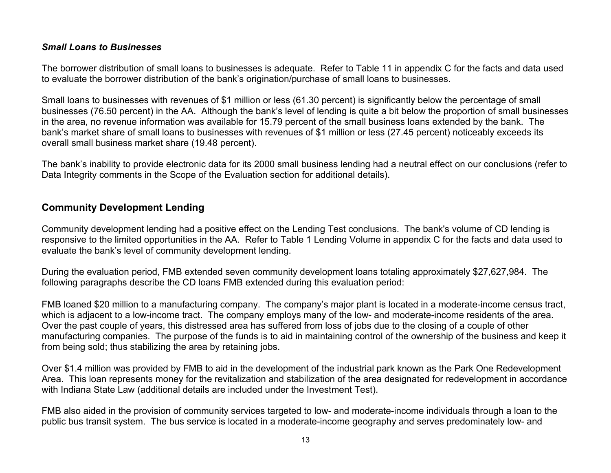### *Small Loans to Businesses*

The borrower distribution of small loans to businesses is adequate. Refer to Table 11 in appendix C for the facts and data used to evaluate the borrower distribution of the bank's origination/purchase of small loans to businesses.

Small loans to businesses with revenues of \$1 million or less (61.30 percent) is significantly below the percentage of small businesses (76.50 percent) in the AA. Although the bank's level of lending is quite a bit below the proportion of small businesses in the area, no revenue information was available for 15.79 percent of the small business loans extended by the bank. The bank's market share of small loans to businesses with revenues of \$1 million or less (27.45 percent) noticeably exceeds its overall small business market share (19.48 percent).

The bank's inability to provide electronic data for its 2000 small business lending had a neutral effect on our conclusions (refer to Data Integrity comments in the Scope of the Evaluation section for additional details).

## **Community Development Lending**

Community development lending had a positive effect on the Lending Test conclusions. The bank's volume of CD lending is responsive to the limited opportunities in the AA. Refer to Table 1 Lending Volume in appendix C for the facts and data used to evaluate the bank's level of community development lending.

During the evaluation period, FMB extended seven community development loans totaling approximately \$27,627,984. The following paragraphs describe the CD loans FMB extended during this evaluation period:

FMB loaned \$20 million to a manufacturing company. The company's major plant is located in a moderate-income census tract, which is adjacent to a low-income tract. The company employs many of the low- and moderate-income residents of the area. Over the past couple of years, this distressed area has suffered from loss of jobs due to the closing of a couple of other manufacturing companies. The purpose of the funds is to aid in maintaining control of the ownership of the business and keep it from being sold; thus stabilizing the area by retaining jobs.

Over \$1.4 million was provided by FMB to aid in the development of the industrial park known as the Park One Redevelopment Area. This loan represents money for the revitalization and stabilization of the area designated for redevelopment in accordance with Indiana State Law (additional details are included under the Investment Test).

FMB also aided in the provision of community services targeted to low- and moderate-income individuals through a loan to the public bus transit system. The bus service is located in a moderate-income geography and serves predominately low- and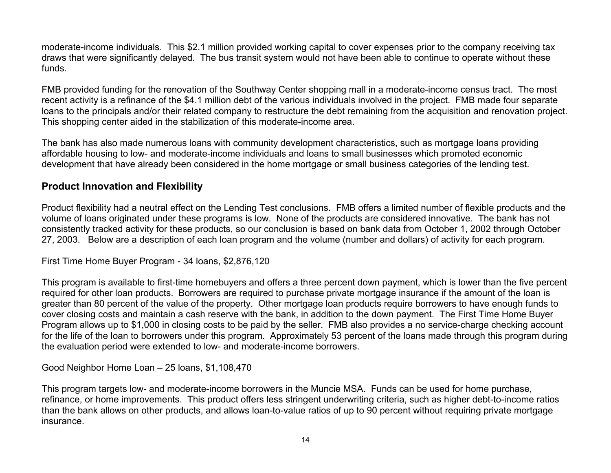moderate-income individuals. This \$2.1 million provided working capital to cover expenses prior to the company receiving tax draws that were significantly delayed. The bus transit system would not have been able to continue to operate without these funds.

FMB provided funding for the renovation of the Southway Center shopping mall in a moderate-income census tract. The most recent activity is a refinance of the \$4.1 million debt of the various individuals involved in the project. FMB made four separate loans to the principals and/or their related company to restructure the debt remaining from the acquisition and renovation project. This shopping center aided in the stabilization of this moderate-income area.

The bank has also made numerous loans with community development characteristics, such as mortgage loans providing affordable housing to low- and moderate-income individuals and loans to small businesses which promoted economic development that have already been considered in the home mortgage or small business categories of the lending test.

### **Product Innovation and Flexibility**

Product flexibility had a neutral effect on the Lending Test conclusions. FMB offers a limited number of flexible products and the volume of loans originated under these programs is low. None of the products are considered innovative. The bank has not consistently tracked activity for these products, so our conclusion is based on bank data from October 1, 2002 through October 27, 2003. Below are a description of each loan program and the volume (number and dollars) of activity for each program.

First Time Home Buyer Program - 34 loans, \$2,876,120

This program is available to first-time homebuyers and offers a three percent down payment, which is lower than the five percent required for other loan products. Borrowers are required to purchase private mortgage insurance if the amount of the loan is greater than 80 percent of the value of the property. Other mortgage loan products require borrowers to have enough funds to cover closing costs and maintain a cash reserve with the bank, in addition to the down payment. The First Time Home Buyer Program allows up to \$1,000 in closing costs to be paid by the seller. FMB also provides a no service-charge checking account for the life of the loan to borrowers under this program. Approximately 53 percent of the loans made through this program during the evaluation period were extended to low- and moderate-income borrowers.

Good Neighbor Home Loan – 25 loans, \$1,108,470

This program targets low- and moderate-income borrowers in the Muncie MSA. Funds can be used for home purchase, refinance, or home improvements. This product offers less stringent underwriting criteria, such as higher debt-to-income ratios than the bank allows on other products, and allows loan-to-value ratios of up to 90 percent without requiring private mortgage insurance.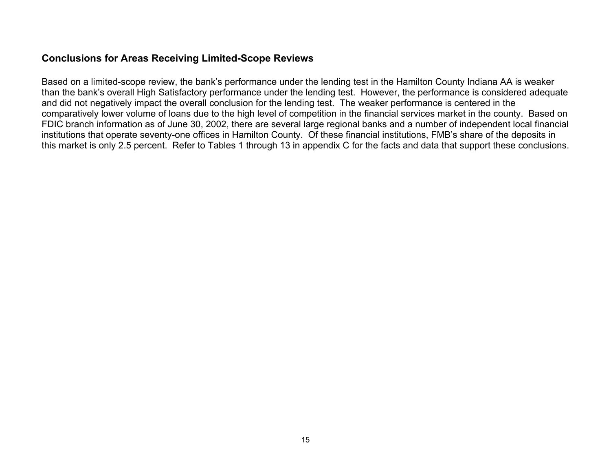## **Conclusions for Areas Receiving Limited-Scope Reviews**

Based on a limited-scope review, the bank's performance under the lending test in the Hamilton County Indiana AA is weaker than the bank's overall High Satisfactory performance under the lending test. However, the performance is considered adequate and did not negatively impact the overall conclusion for the lending test. The weaker performance is centered in the comparatively lower volume of loans due to the high level of competition in the financial services market in the county. Based on FDIC branch information as of June 30, 2002, there are several large regional banks and a number of independent local financial institutions that operate seventy-one offices in Hamilton County. Of these financial institutions, FMB's share of the deposits in this market is only 2.5 percent. Refer to Tables 1 through 13 in appendix C for the facts and data that support these conclusions.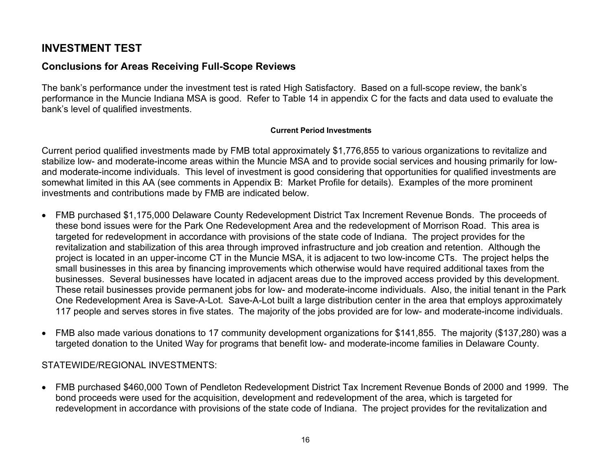## **INVESTMENT TEST**

## **Conclusions for Areas Receiving Full-Scope Reviews**

The bank's performance under the investment test is rated High Satisfactory. Based on a full-scope review, the bank's performance in the Muncie Indiana MSA is good. Refer to Table 14 in appendix C for the facts and data used to evaluate the bank's level of qualified investments.

#### **Current Period Investments**

Current period qualified investments made by FMB total approximately \$1,776,855 to various organizations to revitalize and stabilize low- and moderate-income areas within the Muncie MSA and to provide social services and housing primarily for lowand moderate-income individuals. This level of investment is good considering that opportunities for qualified investments are somewhat limited in this AA (see comments in Appendix B: Market Profile for details). Examples of the more prominent investments and contributions made by FMB are indicated below.

- FMB purchased \$1,175,000 Delaware County Redevelopment District Tax Increment Revenue Bonds. The proceeds of these bond issues were for the Park One Redevelopment Area and the redevelopment of Morrison Road. This area is targeted for redevelopment in accordance with provisions of the state code of Indiana. The project provides for the revitalization and stabilization of this area through improved infrastructure and job creation and retention. Although the project is located in an upper-income CT in the Muncie MSA, it is adjacent to two low-income CTs. The project helps the small businesses in this area by financing improvements which otherwise would have required additional taxes from the businesses. Several businesses have located in adjacent areas due to the improved access provided by this development. These retail businesses provide permanent jobs for low- and moderate-income individuals. Also, the initial tenant in the Park One Redevelopment Area is Save-A-Lot. Save-A-Lot built a large distribution center in the area that employs approximately 117 people and serves stores in five states. The majority of the jobs provided are for low- and moderate-income individuals.
- FMB also made various donations to 17 community development organizations for \$141,855. The majority (\$137,280) was a targeted donation to the United Way for programs that benefit low- and moderate-income families in Delaware County.

### STATEWIDE/REGIONAL INVESTMENTS:

<span id="page-17-0"></span>• FMB purchased \$460,000 Town of Pendleton Redevelopment District Tax Increment Revenue Bonds of 2000 and 1999. The bond proceeds were used for the acquisition, development and redevelopment of the area, which is targeted for redevelopment in accordance with provisions of the state code of Indiana. The project provides for the revitalization and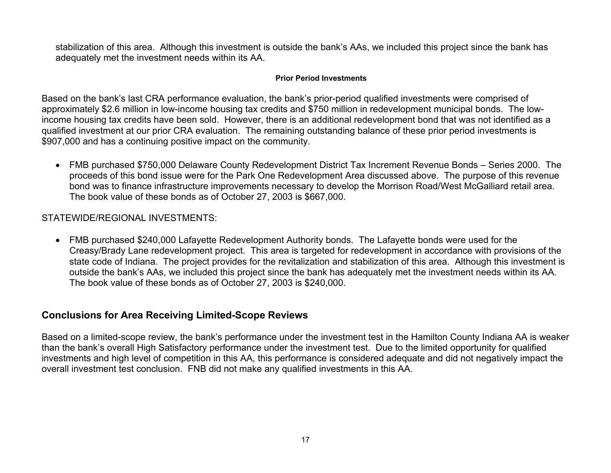stabilization of this area. Although this investment is outside the bank's AAs, we included this project since the bank has adequately met the investment needs within its AA.

#### **Prior Period Investments**

Based on the bank's last CRA performance evaluation, the bank's prior-period qualified investments were comprised of approximately \$2.6 million in low-income housing tax credits and \$750 million in redevelopment municipal bonds. The lowincome housing tax credits have been sold. However, there is an additional redevelopment bond that was not identified as a qualified investment at our prior CRA evaluation. The remaining outstanding balance of these prior period investments is \$907,000 and has a continuing positive impact on the community.

• FMB purchased \$750,000 Delaware County Redevelopment District Tax Increment Revenue Bonds – Series 2000. The proceeds of this bond issue were for the Park One Redevelopment Area discussed above. The purpose of this revenue bond was to finance infrastructure improvements necessary to develop the Morrison Road/West McGalliard retail area. The book value of these bonds as of October 27, 2003 is \$667,000.

### STATEWIDE/REGIONAL INVESTMENTS:

• FMB purchased \$240,000 Lafayette Redevelopment Authority bonds. The Lafayette bonds were used for the Creasy/Brady Lane redevelopment project. This area is targeted for redevelopment in accordance with provisions of the state code of Indiana. The project provides for the revitalization and stabilization of this area. Although this investment is outside the bank's AAs, we included this project since the bank has adequately met the investment needs within its AA. The book value of these bonds as of October 27, 2003 is \$240,000.

### **Conclusions for Area Receiving Limited-Scope Reviews**

Based on a limited-scope review, the bank's performance under the investment test in the Hamilton County Indiana AA is weaker than the bank's overall High Satisfactory performance under the investment test. Due to the limited opportunity for qualified investments and high level of competition in this AA, this performance is considered adequate and did not negatively impact the overall investment test conclusion. FNB did not make any qualified investments in this AA.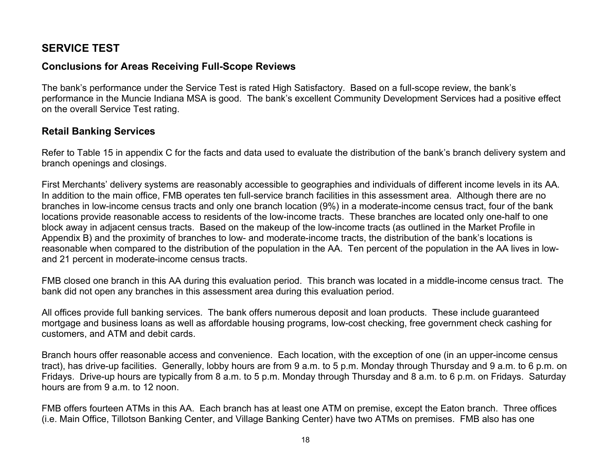## **SERVICE TEST**

## **Conclusions for Areas Receiving Full-Scope Reviews**

The bank's performance under the Service Test is rated High Satisfactory. Based on a full-scope review, the bank's performance in the Muncie Indiana MSA is good. The bank's excellent Community Development Services had a positive effect on the overall Service Test rating.

## **Retail Banking Services**

Refer to Table 15 in appendix C for the facts and data used to evaluate the distribution of the bank's branch delivery system and branch openings and closings.

First Merchants' delivery systems are reasonably accessible to geographies and individuals of different income levels in its AA. In addition to the main office, FMB operates ten full-service branch facilities in this assessment area. Although there are no branches in low-income census tracts and only one branch location (9%) in a moderate-income census tract, four of the bank locations provide reasonable access to residents of the low-income tracts. These branches are located only one-half to one block away in adjacent census tracts. Based on the makeup of the low-income tracts (as outlined in the Market Profile in Appendix B) and the proximity of branches to low- and moderate-income tracts, the distribution of the bank's locations is reasonable when compared to the distribution of the population in the AA. Ten percent of the population in the AA lives in lowand 21 percent in moderate-income census tracts.

FMB closed one branch in this AA during this evaluation period. This branch was located in a middle-income census tract. The bank did not open any branches in this assessment area during this evaluation period.

All offices provide full banking services. The bank offers numerous deposit and loan products. These include guaranteed mortgage and business loans as well as affordable housing programs, low-cost checking, free government check cashing for customers, and ATM and debit cards.

Branch hours offer reasonable access and convenience. Each location, with the exception of one (in an upper-income census tract), has drive-up facilities. Generally, lobby hours are from 9 a.m. to 5 p.m. Monday through Thursday and 9 a.m. to 6 p.m. on Fridays. Drive-up hours are typically from 8 a.m. to 5 p.m. Monday through Thursday and 8 a.m. to 6 p.m. on Fridays. Saturday hours are from 9 a.m. to 12 noon.

<span id="page-19-0"></span>FMB offers fourteen ATMs in this AA. Each branch has at least one ATM on premise, except the Eaton branch. Three offices (i.e. Main Office, Tillotson Banking Center, and Village Banking Center) have two ATMs on premises. FMB also has one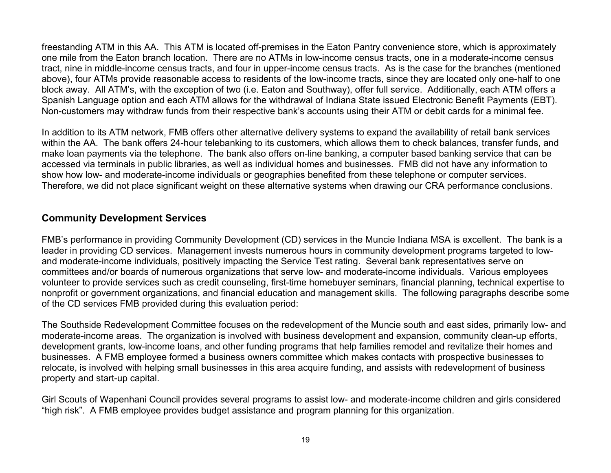freestanding ATM in this AA. This ATM is located off-premises in the Eaton Pantry convenience store, which is approximately one mile from the Eaton branch location. There are no ATMs in low-income census tracts, one in a moderate-income census tract, nine in middle-income census tracts, and four in upper-income census tracts. As is the case for the branches (mentioned above), four ATMs provide reasonable access to residents of the low-income tracts, since they are l ocated only one-half to one block away. All ATM's, with the exception of two (i.e. Eaton and Southway), offer full servi ce. Additionally, each ATM offers a Spanish Language option and each ATM allows for the withdrawal of Indiana State issued Electronic Benefit Payments (EBT). Non-customers may withdraw funds from their respective bank's accounts using their ATM or debit cards for a minimal fee.

In addition to its ATM network, FMB offers other alternative delivery systems to expand the availability of retail bank services within the AA. The bank offers 24-hour telebanking to its customers, which allows them to check balances, transfer funds, and make loan payments via the telephone. The bank also offers on-line banking, a computer based banking service that can be accessed via terminals in public libraries, as well as individual homes and businesses. FMB did not have any information to show how low- and moderate-inc ome individuals or geographies benefited from these tel ephone or computer services. Therefore, we did not place significant weight on these alternative systems when drawing our CRA performance conclusions.

## **Community Developm ent Services**

FMB's performance in providing Community Development (CD) services in the Muncie Indiana MSA is excellent. The bank is a leader in providing CD services. Management invests numerous hours in community development programs targeted to lowand moderate-income individuals, positively impacting the Service Test rating. Several bank representatives serve on committees and/or boards of numerous organizations that serve low- and moderate-income individ uals. Various employees volunteer to provide services such as credit counseling, first-time homebuyer seminars, financial planning, technical expertise to nonprofit or government organizations, and financial education and management skills. The following paragraphs describe some of the CD services FMB provided during this evaluation period:

The Southside Redevelopment Committee focuses on the redevelopment of the Muncie south and east sides, primarily low- and moderate-income areas. The organization is involved with business development and expansion, community clean-up efforts, develo pment grants, low-income loans, and other funding programs that help families remodel and revitalize their homes and business e s. A FMB employee formed a business owners committee which makes contacts with prospective businesses to relocate, is involved with helping small businesses in this area acquire funding, and assists with redevelopment of business property and start-up capital.

Girl Scouts of Wapenhani Council provides several programs to assist low- and moderate-income children and girls considered "high risk". A FMB employee provides budget assistance and program planning for this organization.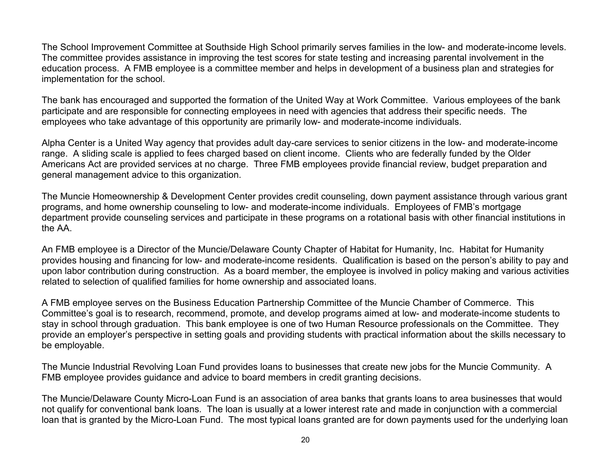The School Improvement Committee at Southside High School primarily serves families in the low- and moderate-income levels. The committee provides assistance in improving the test scores for state testing and increasing parental involvement in the education process. A FMB employee is a committee member and helps in development of a business plan and strategies for implementation for the school.

The bank has encouraged and supported the formation of the United Way at Work Committee. Various employees of the bank participate and are responsible for connecting employees in need with agencies that address their specific needs. The employees who take advantage of this opportunity are primarily low- and moderate-income individuals.

Alpha Center is a United Way agency that provides adult day-care services to senior citizens in the low- and moderate-income range. A sliding scale is applied to fees charged based on client income. Clients who are federally funded by the Older Americans Act are provided services at no charge. Three FMB employees provide financial review, budget preparation and general management advice to this organization.

The Muncie Homeownership & Development Center provides credit counseling, down payment assistance through various grant programs, and home ownership counseling to low- and moderate-income individuals. Employees of FMB's mortgage department provide counseling services and participate in these programs on a rotational basis with other financial institutions in the AA.

An FMB employee is a Director of the Muncie/Delaware County Chapter of Habitat for Humanity, Inc. Habitat for Humanity provides housing and financing for low- and moderate-income residents. Qualification is based on the person's ability to pay and upon labor contribution during construction. As a board member, the employee is involved in policy making and various activities related to selection of qualified families for home ownership and associated loans.

A FMB employee serves on the Business Education Partnership Committee of the Muncie Chamber of Commerce. This Committee's goal is to research, recommend, promote, and develop programs aimed at low- and moderate-income students to stay in school through graduation. This bank employee is one of two Human Resource professionals on the Committee. They provide an employer's perspective in setting goals and providing students with practical information about the skills necessary to be employable.

The Muncie Industrial Revolving Loan Fund provides loans to businesses that create new jobs for the Muncie Community. A FMB employee provides guidance and advice to board members in credit granting decisions.

The Muncie/Delaware County Micro-Loan Fund is an association of area banks that grants loans to area businesses that would not qualify for conventional bank loans. The loan is usually at a lower interest rate and made in conjunction with a commercial loan that is granted by the Micro-Loan Fund. The most typical loans granted are for down payments used for the underlying loan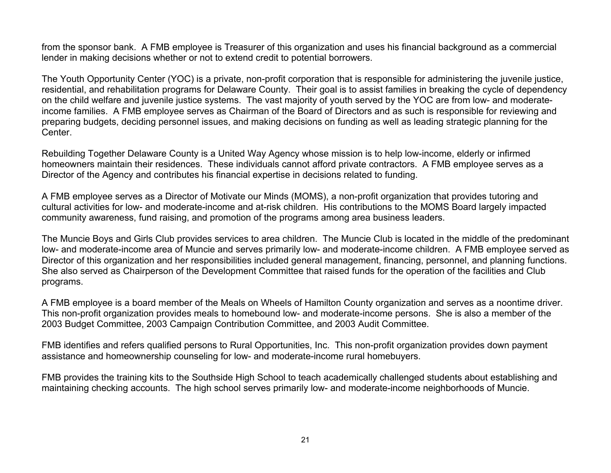from the sponsor bank. A FMB employee is Treasurer of this organization and uses his financial background as a commercial lender in making decisions whether or not to extend credit to potential borrowers.

The Youth Opportunity Center (YOC) is a private, non-profit corporation that is responsible for administering the juvenile justice, residential, and rehabilitation programs for Delaware County. Their goal is to assist families in breaking the cycle of dependency on the child welfare and juvenile justice systems. The vast majority of youth served by the YOC are from low- and moderateincome families. A FMB employee serves as Chairman of the Board of Directors and as such is responsible for reviewing and preparing budgets, deciding personnel issues, and making decisions on funding as well as leading strategic planning for the Center.

Rebuilding Together Delaware County is a United Way Agency whose mission is to help low-income, elderly or infirmed homeowners maintain their residences. These individuals cannot afford private contractors. A FMB employee serves as a Director of the Agency and contributes his financial expertise in decisions related to funding.

A FMB employee serves as a Director of Motivate our Minds (MOMS), a non-profit organization that provides tutoring and cultural activities for low- and moderate-income and at-risk children. His contributions to the MOMS Board largely impacted community awareness, fund raising, and promotion of the programs among area business leaders.

The Muncie Boys and Girls Club provides services to area children. The Muncie Club is located in the middle of the predominant low- and moderate-income area of Muncie and serves primarily low- and moderate-income children. A FMB employee served as Director of this organization and her responsibilities included general management, financing, personnel, and planning functions. She also served as Chairperson of the Development Committee that raised funds for the operation of the facilities and Club programs.

A FMB employee is a board member of the Meals on Wheels of Hamilton County organization and serves as a noontime driver. This non-profit organization provides meals to homebound low- and moderate-income persons. She is also a member of the 2003 Budget Committee, 2003 Campaign Contribution Committee, and 2003 Audit Committee.

FMB identifies and refers qualified persons to Rural Opportunities, Inc. This non-profit organization provides down payment assistance and homeownership counseling for low- and moderate-income rural homebuyers.

FMB provides the training kits to the Southside High School to teach academically challenged students about establishing and maintaining checking accounts. The high school serves primarily low- and moderate-income neighborhoods of Muncie.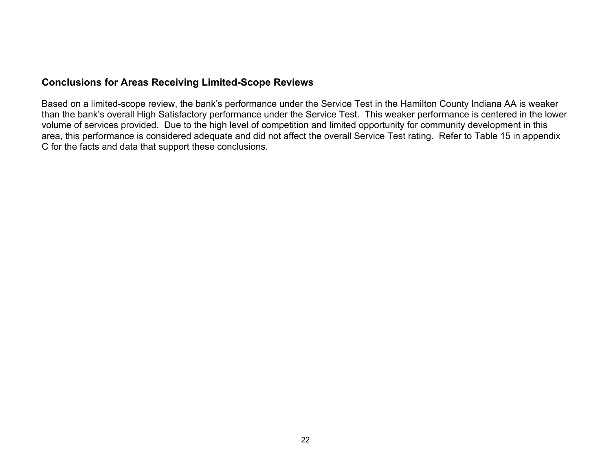## **Conclusions for Areas Receiving Limited-Scope Reviews**

Based on a limited-scope review, the bank's performance under the Service Test in the Hamilton County Indiana AA is weaker than the bank's overall High Satisfactory performance under the Service Test. This weaker performance is centered in the lower volume of services provided. Due to the high level of competition and limited opportunity for community development in this area, this performance is considered adequate and did not affect the overall Service Test rating. Refer to Table 15 in appendix C for the facts and data that support these conclusions.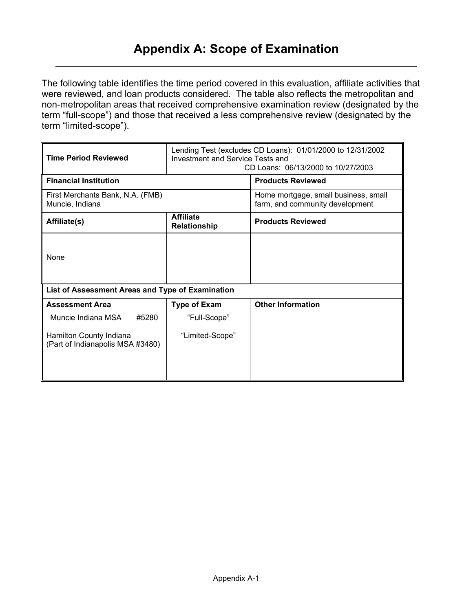<span id="page-24-0"></span>The following table identifies the time period covered in this evaluation, affiliate activities that were reviewed, and loan products considered. The table also reflects the metropolitan and non-metropolitan areas that received comprehensive examination review (designated by the term "full-scope") and those that received a less comprehensive review (designated by the term "limited-scope").

| <b>Time Period Reviewed</b>                                 | Investment and Service Tests and        | Lending Test (excludes CD Loans): 01/01/2000 to 12/31/2002<br>CD Loans: 06/13/2000 to 10/27/2003 |  |  |  |  |  |
|-------------------------------------------------------------|-----------------------------------------|--------------------------------------------------------------------------------------------------|--|--|--|--|--|
| <b>Financial Institution</b>                                |                                         | <b>Products Reviewed</b>                                                                         |  |  |  |  |  |
| First Merchants Bank, N.A. (FMB)<br>Muncie, Indiana         |                                         | Home mortgage, small business, small<br>farm, and community development                          |  |  |  |  |  |
| Affiliate(s)                                                | <b>Affiliate</b><br><b>Relationship</b> | <b>Products Reviewed</b>                                                                         |  |  |  |  |  |
| None                                                        |                                         |                                                                                                  |  |  |  |  |  |
| List of Assessment Areas and Type of Examination            |                                         |                                                                                                  |  |  |  |  |  |
| <b>Assessment Area</b>                                      | <b>Type of Exam</b>                     | <b>Other Information</b>                                                                         |  |  |  |  |  |
| #5280<br>Muncie Indiana MSA                                 | "Full-Scope"                            |                                                                                                  |  |  |  |  |  |
| Hamilton County Indiana<br>(Part of Indianapolis MSA #3480) | "Limited-Scope"                         |                                                                                                  |  |  |  |  |  |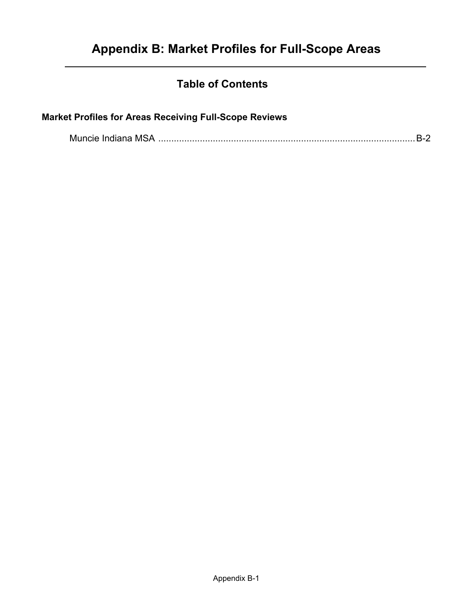## **Table of Contents**

## <span id="page-25-0"></span>**Market Profiles for Areas Receiving Full-Scope Reviews**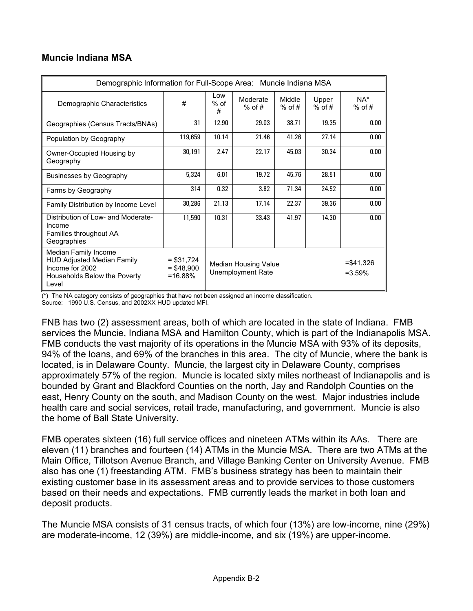<span id="page-26-0"></span>

| <b>Muncie Indiana MSA</b> |  |
|---------------------------|--|
|                           |  |

| Demographic Information for Full-Scope Area: Muncie Indiana MSA                                                       |                                          |                                           |                      |                           |                   |                 |  |  |  |  |  |  |  |
|-----------------------------------------------------------------------------------------------------------------------|------------------------------------------|-------------------------------------------|----------------------|---------------------------|-------------------|-----------------|--|--|--|--|--|--|--|
| Demographic Characteristics                                                                                           | #                                        | Low<br>$%$ of<br>#                        | Moderate<br>$%$ of # | Middle<br>$%$ of #        | Upper<br>$%$ of # | NA*<br>$%$ of # |  |  |  |  |  |  |  |
| Geographies (Census Tracts/BNAs)                                                                                      | 31                                       | 12.90                                     | 29.03                | 38.71                     | 19.35             | 0.00            |  |  |  |  |  |  |  |
| Population by Geography                                                                                               | 119,659                                  | 10.14                                     | 21.46                | 41.26                     | 27.14             | 0.00            |  |  |  |  |  |  |  |
| Owner-Occupied Housing by<br>Geography                                                                                | 30,191                                   | 2.47                                      | 22.17                | 45.03                     | 30.34             | 0.00            |  |  |  |  |  |  |  |
| <b>Businesses by Geography</b>                                                                                        | 5,324                                    | 6.01                                      | 19.72                | 45.76                     | 28.51             | 0.00            |  |  |  |  |  |  |  |
| Farms by Geography                                                                                                    | 314                                      | 0.32                                      | 3.82                 | 71.34                     | 24.52             | 0.00            |  |  |  |  |  |  |  |
| Family Distribution by Income Level                                                                                   | 30,286                                   | 21.13                                     | 17.14                | 22.37                     | 39.36             | 0.00            |  |  |  |  |  |  |  |
| Distribution of Low- and Moderate-<br>Income<br>Families throughout AA<br>Geographies                                 | 11,590                                   | 10.31                                     | 33.43                | 41.97                     | 14.30             | 0.00            |  |  |  |  |  |  |  |
| Median Family Income<br><b>HUD Adjusted Median Family</b><br>Income for 2002<br>Households Below the Poverty<br>Level | $= $31,724$<br>$=$ \$48.900<br>$=16.88%$ | Median Housing Value<br>Unemployment Rate |                      | $= $41,326$<br>$= 3.59\%$ |                   |                 |  |  |  |  |  |  |  |

(\*) The NA category consists of geographies that have not been assigned an income classification.

Source: 1990 U.S. Census, and 2002XX HUD updated MFI.

FNB has two (2) assessment areas, both of which are located in the state of Indiana. FMB services the Muncie, Indiana MSA and Hamilton County, which is part of the Indianapolis MSA. FMB conducts the vast majority of its operations in the Muncie MSA with 93% of its deposits, 94% of the loans, and 69% of the branches in this area. The city of Muncie, where the bank is located, is in Delaware County. Muncie, the largest city in Delaware County, comprises approximately 57% of the region. Muncie is located sixty miles northeast of Indianapolis and is bounded by Grant and Blackford Counties on the north, Jay and Randolph Counties on the east, Henry County on the south, and Madison County on the west. Major industries include health care and social services, retail trade, manufacturing, and government. Muncie is also the home of Ball State University.

FMB operates sixteen (16) full service offices and nineteen ATMs within its AAs. There are eleven (11) branches and fourteen (14) ATMs in the Muncie MSA. There are two ATMs at the Main Office, Tillotson Avenue Branch, and Village Banking Center on University Avenue. FMB also has one (1) freestanding ATM. FMB's business strategy has been to maintain their existing customer base in its assessment areas and to provide services to those customers based on their needs and expectations. FMB currently leads the market in both loan and deposit products.

The Muncie MSA consists of 31 census tracts, of which four (13%) are low-income, nine (29%) are moderate-income, 12 (39%) are middle-income, and six (19%) are upper-income.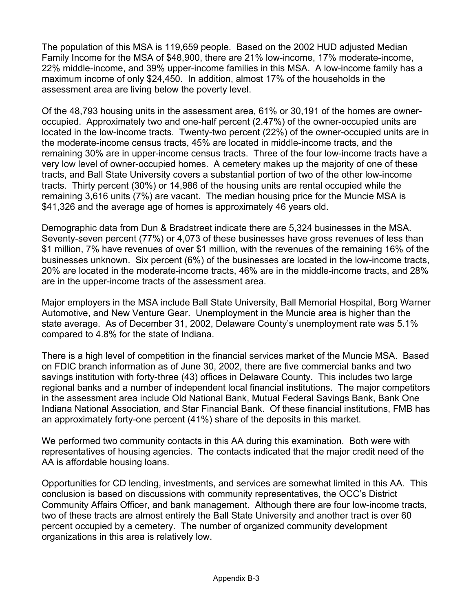The population of this MSA is 119,659 people. Based on the 2002 HUD adjusted Median Family Income for the MSA of \$48,900, there are 21% low-income, 17% moderate-income, 22% middle-income, and 39% upper-income families in this MSA. A low-income family has a maximum income of only \$24,450. In addition, almost 17% of the households in the assessment area are living below the poverty level.

Of the 48,793 housing units in the assessment area, 61% or 30,191 of the homes are owneroccupied. Approximately two and one-half percent (2.47%) of the owner-occupied units are located in the low-income tracts. Twenty-two percent (22%) of the owner-occupied units are in the moderate-income census tracts, 45% are located in middle-income tracts, and the remaining 30% are in upper-income census tracts. Three of the four low-income tracts have a very low level of owner-occupied homes. A cemetery makes up the majority of one of these tracts, and Ball State University covers a substantial portion of two of the other low-income tracts. Thirty percent (30%) or 14,986 of the housing units are rental occupied while the remaining 3,616 units (7%) are vacant. The median housing price for the Muncie MSA is \$41,326 and the average age of homes is approximately 46 years old.

Demographic data from Dun & Bradstreet indicate there are 5,324 businesses in the MSA. Seventy-seven percent (77%) or 4,073 of these businesses have gross revenues of less than \$1 million, 7% have revenues of over \$1 million, with the revenues of the remaining 16% of the businesses unknown. Six percent (6%) of the businesses are located in the low-income tracts, 20% are located in the moderate-income tracts, 46% are in the middle-income tracts, and 28% are in the upper-income tracts of the assessment area.

Major employers in the MSA include Ball State University, Ball Memorial Hospital, Borg Warner Automotive, and New Venture Gear. Unemployment in the Muncie area is higher than the state average. As of December 31, 2002, Delaware County's unemployment rate was 5.1% compared to 4.8% for the state of Indiana.

There is a high level of competition in the financial services market of the Muncie MSA. Based on FDIC branch information as of June 30, 2002, there are five commercial banks and two savings institution with forty-three (43) offices in Delaware County. This includes two large regional banks and a number of independent local financial institutions. The major competitors in the assessment area include Old National Bank, Mutual Federal Savings Bank, Bank One Indiana National Association, and Star Financial Bank. Of these financial institutions, FMB has an approximately forty-one percent (41%) share of the deposits in this market.

We performed two community contacts in this AA during this examination. Both were with representatives of housing agencies. The contacts indicated that the major credit need of the AA is affordable housing loans.

Opportunities for CD lending, investments, and services are somewhat limited in this AA. This conclusion is based on discussions with community representatives, the OCC's District Community Affairs Officer, and bank management. Although there are four low-income tracts, two of these tracts are almost entirely the Ball State University and another tract is over 60 percent occupied by a cemetery. The number of organized community development organizations in this area is relatively low.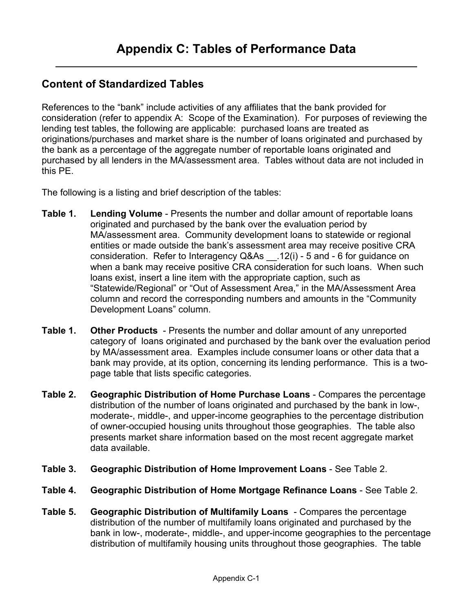## <span id="page-28-0"></span>**Content of Standardized Tables**

References to the "bank" include activities of any affiliates that the bank provided for consideration (refer to appendix A: Scope of the Examination). For purposes of reviewing the lending test tables, the following are applicable: purchased loans are treated as originations/purchases and market share is the number of loans originated and purchased by the bank as a percentage of the aggregate number of reportable loans originated and purchased by all lenders in the MA/assessment area. Tables without data are not included in this PE.

The following is a listing and brief description of the tables:

- **Table 1. Lending Volume** Presents the number and dollar amount of reportable loans originated and purchased by the bank over the evaluation period by MA/assessment area. Community development loans to statewide or regional entities or made outside the bank's assessment area may receive positive CRA consideration. Refer to Interagency Q&As \_\_.12(i) - 5 and - 6 for guidance on when a bank may receive positive CRA consideration for such loans. When such loans exist, insert a line item with the appropriate caption, such as "Statewide/Regional" or "Out of Assessment Area," in the MA/Assessment Area column and record the corresponding numbers and amounts in the "Community Development Loans" column.
- **Table 1. Other Products**  Presents the number and dollar amount of any unreported category of loans originated and purchased by the bank over the evaluation period by MA/assessment area. Examples include consumer loans or other data that a bank may provide, at its option, concerning its lending performance. This is a twopage table that lists specific categories.
- **Table 2. Geographic Distribution of Home Purchase Loans** Compares the percentage distribution of the number of loans originated and purchased by the bank in low-, moderate-, middle-, and upper-income geographies to the percentage distribution of owner-occupied housing units throughout those geographies. The table also presents market share information based on the most recent aggregate market data available.
- **Table 3. Geographic Distribution of Home Improvement Loans** See Table 2.
- **Table 4. Geographic Distribution of Home Mortgage Refinance Loans** See Table 2.
- **Table 5. Geographic Distribution of Multifamily Loans** Compares the percentage distribution of the number of multifamily loans originated and purchased by the bank in low-, moderate-, middle-, and upper-income geographies to the percentage distribution of multifamily housing units throughout those geographies. The table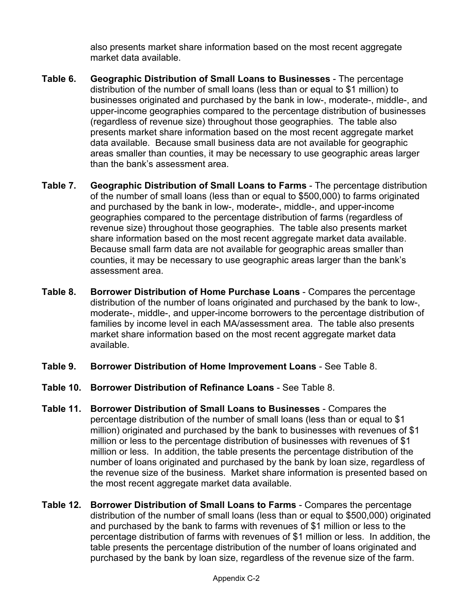also presents market share information based on the most recent aggregate market data available.

- **Table 6. Geographic Distribution of Small Loans to Businesses** The percentage distribution of the number of small loans (less than or equal to \$1 million) to businesses originated and purchased by the bank in low-, moderate-, middle-, and upper-income geographies compared to the percentage distribution of businesses (regardless of revenue size) throughout those geographies. The table also presents market share information based on the most recent aggregate market data available. Because small business data are not available for geographic areas smaller than counties, it may be necessary to use geographic areas larger than the bank's assessment area.
- **Table 7. Geographic Distribution of Small Loans to Farms** The percentage distribution of the number of small loans (less than or equal to \$500,000) to farms originated and purchased by the bank in low-, moderate-, middle-, and upper-income geographies compared to the percentage distribution of farms (regardless of revenue size) throughout those geographies. The table also presents market share information based on the most recent aggregate market data available. Because small farm data are not available for geographic areas smaller than counties, it may be necessary to use geographic areas larger than the bank's assessment area.
- **Table 8. Borrower Distribution of Home Purchase Loans** Compares the percentage distribution of the number of loans originated and purchased by the bank to low-, moderate-, middle-, and upper-income borrowers to the percentage distribution of families by income level in each MA/assessment area. The table also presents market share information based on the most recent aggregate market data available.
- **Table 9. Borrower Distribution of Home Improvement Loans** See Table 8.
- **Table 10. Borrower Distribution of Refinance Loans** See Table 8.
- **Table 11. Borrower Distribution of Small Loans to Businesses** Compares the percentage distribution of the number of small loans (less than or equal to \$1 million) originated and purchased by the bank to businesses with revenues of \$1 million or less to the percentage distribution of businesses with revenues of \$1 million or less. In addition, the table presents the percentage distribution of the number of loans originated and purchased by the bank by loan size, regardless of the revenue size of the business. Market share information is presented based on the most recent aggregate market data available.
- **Table 12. Borrower Distribution of Small Loans to Farms** Compares the percentage distribution of the number of small loans (less than or equal to \$500,000) originated and purchased by the bank to farms with revenues of \$1 million or less to the percentage distribution of farms with revenues of \$1 million or less. In addition, the table presents the percentage distribution of the number of loans originated and purchased by the bank by loan size, regardless of the revenue size of the farm.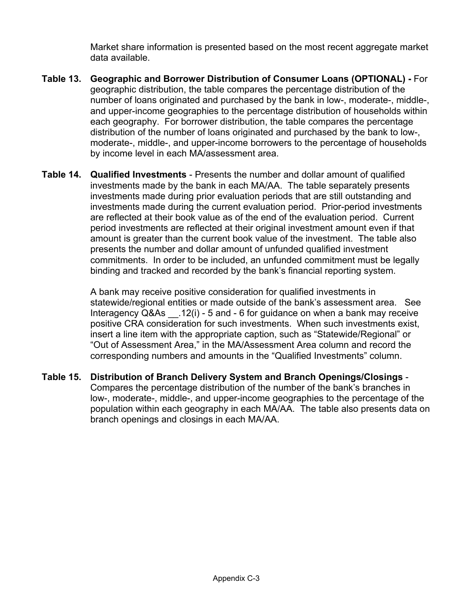Market share information is presented based on the most recent aggregate market data available.

- **Table 13. Geographic and Borrower Distribution of Consumer Loans (OPTIONAL)** For geographic distribution, the table compares the percentage distribution of the number of loans originated and purchased by the bank in low-, moderate-, middle-, and upper-income geographies to the percentage distribution of households within each geography. For borrower distribution, the table compares the percentage distribution of the number of loans originated and purchased by the bank to low-, moderate-, middle-, and upper-income borrowers to the percentage of households by income level in each MA/assessment area.
- **Table 14. Qualified Investments** Presents the number and dollar amount of qualified investments made by the bank in each MA/AA. The table separately presents investments made during prior evaluation periods that are still outstanding and investments made during the current evaluation period. Prior-period investments are reflected at their book value as of the end of the evaluation period. Current period investments are reflected at their original investment amount even if that amount is greater than the current book value of the investment. The table also presents the number and dollar amount of unfunded qualified investment commitments. In order to be included, an unfunded commitment must be legally binding and tracked and recorded by the bank's financial reporting system.

A bank may receive positive consideration for qualified investments in statewide/regional entities or made outside of the bank's assessment area. See Interagency Q&As \_\_.12(i) - 5 and - 6 for guidance on when a bank may receive positive CRA consideration for such investments. When such investments exist, insert a line item with the appropriate caption, such as "Statewide/Regional" or "Out of Assessment Area," in the MA/Assessment Area column and record the corresponding numbers and amounts in the "Qualified Investments" column.

**Table 15. Distribution of Branch Delivery System and Branch Openings/Closings** - Compares the percentage distribution of the number of the bank's branches in low-, moderate-, middle-, and upper-income geographies to the percentage of the population within each geography in each MA/AA. The table also presents data on branch openings and closings in each MA/AA.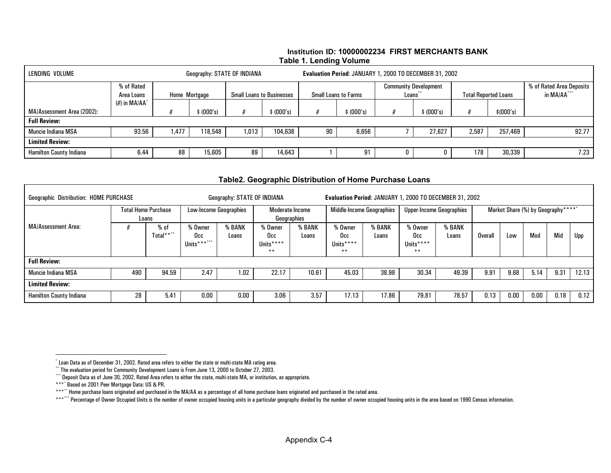#### **Institution ID: 10000002234 FIRST MERCHANTS BANK Table 1. Lending Volume**

<span id="page-31-5"></span><span id="page-31-4"></span><span id="page-31-3"></span><span id="page-31-2"></span><span id="page-31-1"></span><span id="page-31-0"></span>

| LENDING VOLUME<br>Geography: STATE OF INDIANA     |                                           |      |            |       |                                  | Evaluation Period: JANUARY 1, 2000 TO DECEMBER 31, 2002 |                             |                    |                              |       |                             |                                         |  |  |
|---------------------------------------------------|-------------------------------------------|------|------------|-------|----------------------------------|---------------------------------------------------------|-----------------------------|--------------------|------------------------------|-------|-----------------------------|-----------------------------------------|--|--|
|                                                   | % of Rated<br>Home Mortgage<br>Area Loans |      |            |       | <b>Small Loans to Businesses</b> |                                                         | <b>Small Loans to Farms</b> | Loans <sup>1</sup> | <b>Community Development</b> |       | <b>Total Reported Loans</b> | % of Rated Area Deposits<br>in MA/AA*** |  |  |
| MA/Assessment Area (2002):<br><b>Full Review:</b> | $(H)$ in MA/AA $\degree$                  |      | \$ (000's) |       | (000's)                          |                                                         | (000's)                     |                    | (000's)                      |       | \$ (000's)                  |                                         |  |  |
| Muncie Indiana MSA                                | 93.56                                     | .477 | 118,548    | 1,013 | 104,638                          | 90                                                      | 6,656                       |                    | 27,627                       | 2,587 | 257,469                     | 92.77                                   |  |  |
| <b>Limited Review:</b>                            |                                           |      |            |       |                                  |                                                         |                             |                    |                              |       |                             |                                         |  |  |
| <b>Hamilton County Indiana</b>                    | 6.44                                      | 88   | 15,605     | 89    | 14,643                           |                                                         | 91                          | IJ                 | U                            | 178   | 30,339                      | 7.23                                    |  |  |

#### **Table2. Geographic Distribution of Home Purchase Loans**

| <b>Geographic Distribution: HOME PURCHASE</b> |     | Geography: STATE OF INDIANA         |                               |                               | Evaluation Period: JANUARY 1, 2000 TO DECEMBER 31, 2002 |                                |                                      |                                  |                                      |                                 |                                    |      |      |      |       |
|-----------------------------------------------|-----|-------------------------------------|-------------------------------|-------------------------------|---------------------------------------------------------|--------------------------------|--------------------------------------|----------------------------------|--------------------------------------|---------------------------------|------------------------------------|------|------|------|-------|
|                                               |     | <b>Total Home Purchase</b><br>Loans |                               | <b>Low-Income Geographies</b> |                                                         | Moderate-Income<br>Geographies |                                      | <b>Middle-Income Geographies</b> |                                      | <b>Upper-Income Geographies</b> | Market Share (%) by Geography***** |      |      |      |       |
| <b>MA/Assessment Area:</b>                    |     | $%$ of<br>Total****                 | % Owner<br>Occ<br>Units****** | % BANK<br>Loans               | % Owner<br>Occ<br>Units****<br>$***$                    | % BANK<br>Loans                | % Owner<br>Occ<br>Units****<br>$***$ | % BANK<br>Loans                  | % Owner<br>Occ<br>Units****<br>$***$ | % BANK<br>Loans                 | <b>Overall</b>                     | Low  | Mod  | Mid  | Upp   |
| <b>Full Review:</b>                           |     |                                     |                               |                               |                                                         |                                |                                      |                                  |                                      |                                 |                                    |      |      |      |       |
| Muncie Indiana MSA                            | 490 | 94.59                               | 2.47                          | 1.02                          | 22.17                                                   | 10.61                          | 45.03                                | 38.98                            | 30.34                                | 49.39                           | 9.91                               | 9.68 | 5.14 | 9.31 | 12.13 |
| <b>Limited Review:</b>                        |     |                                     |                               |                               |                                                         |                                |                                      |                                  |                                      |                                 |                                    |      |      |      |       |
| <b>Hamilton County Indiana</b>                | 28  | 5.41                                | $0.00\,$                      | 0.00                          | 3.06                                                    | 3.57                           | 17.13                                | 17.86                            | 79.81                                | 78.57                           | 0.13                               | 0.00 | 0.00 | 0.18 | 0.12  |

<sup>\*</sup> Loan Data as of December 31, 2002. Rated area refers to either the state or multi-state MA rating area.

<sup>\*\*</sup> The evaluation period for Community Development Loans is From June 13, 2000 to October 27, 2003.

<sup>\*\*\*</sup> Deposit Data as of June 30, 2002. Rated Area refers to either the state, multi-state MA, or institution, as appropriate.

<sup>\*\*\*</sup>\* Based on 2001 Peer Mortgage Data: US & PR.

<sup>\*\*\*</sup>\*\* Home purchase loans originated and purchased in the MA/AA as a percentage of all home purchase loans originated and purchased in the rated area.

<sup>\*\*\*</sup>\*\*\* Percentage of Owner Occupied Units is the number of owner occupied housing units in a particular geography divided by the number of owner occupied housing units in the area based on 1990 Census information.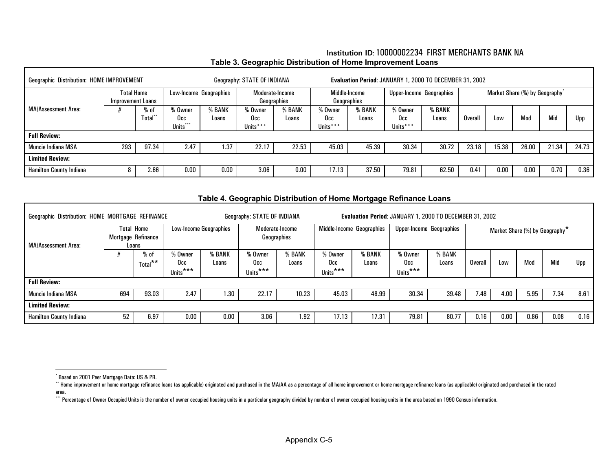#### **Institution ID**: 10000002234 FIRST MERCHANTS BANK NA**Table 3. Geographic Distribution of Home Improvement Loans**

<span id="page-32-5"></span><span id="page-32-4"></span><span id="page-32-3"></span><span id="page-32-2"></span><span id="page-32-1"></span><span id="page-32-0"></span>

| <b>Geographic Distribution: HOME IMPROVEMENT</b> |                                        |                        | Geography: STATE OF INDIANA |               | Evaluation Period: JANUARY 1, 2000 TO DECEMBER 31, 2002 |                 |                              |                 |                            |                 |                                |       |       |       |       |
|--------------------------------------------------|----------------------------------------|------------------------|-----------------------------|---------------|---------------------------------------------------------|-----------------|------------------------------|-----------------|----------------------------|-----------------|--------------------------------|-------|-------|-------|-------|
|                                                  | <b>Total Home</b><br>Improvement Loans |                        | Low-Income Geographies      |               | Moderate-Income<br>Geographies                          |                 | Middle-Income<br>Geographies |                 | Upper-Income Geographies   |                 | Market Share (%) by Geography* |       |       |       |       |
| <b>MA/Assessment Area:</b>                       |                                        | $%$ of<br><b>Total</b> | % Owner<br>Occ<br>Units***  | BANK<br>Loans | % Owner<br>Occ<br>Units***                              | % BANK<br>Loans | % Owner<br>Occ<br>Units***   | % BANK<br>Loans | % Owner<br>Occ<br>Units*** | % BANK<br>Loans | Overal                         | Low   | Mod   | Mid   | Upp   |
| <b>Full Review:</b>                              |                                        |                        |                             |               |                                                         |                 |                              |                 |                            |                 |                                |       |       |       |       |
| <b>Muncie Indiana MSA</b>                        | 293                                    | 97.34                  | 2.47                        | 1.37          | 22.17                                                   | 22.53           | 45.03                        | 45.39           | 30.34                      | 30.72           | 23.18                          | 15.38 | 26.00 | 21.34 | 24.73 |
| <b>Limited Review:</b>                           |                                        |                        |                             |               |                                                         |                 |                              |                 |                            |                 |                                |       |       |       |       |
| <b>Hamilton County Indiana</b>                   |                                        | 2.66                   | 0.00                        | $0.00\,$      | 3.06                                                    | 0.00            | 17.13                        | 37.50           | 79.81                      | 62.50           | 0.41                           | 0.00  | 0.00  | 0.70  | 0.36  |

#### **Table 4. Geographic Distribution of Home Mortgage Refinance Loans**

| Geographic Distribution: HOME MORTGAGE REFINANCE |                                                  |                 |                            |                 | Geography: STATE OF INDIANA            |                | Evaluation Period: JANUARY 1, 2000 TO DECEMBER 31, 2002 |                 |                                 |                 |                                            |      |      |      |      |
|--------------------------------------------------|--------------------------------------------------|-----------------|----------------------------|-----------------|----------------------------------------|----------------|---------------------------------------------------------|-----------------|---------------------------------|-----------------|--------------------------------------------|------|------|------|------|
| MA/Assessment Area:                              | <b>Total Home</b><br>Mortgage Refinance<br>Loans |                 | Low-Income Geographies     |                 | Moderate-Income<br>Geographies         |                | Middle-Income Geographies                               |                 | <b>Upper-Income Geographies</b> |                 | Market Share (%) by Geography <sup>*</sup> |      |      |      |      |
|                                                  |                                                  | % of<br>Total** | % Owner<br>Occ<br>Units*** | % BANK<br>Loans | % Owner<br>Occ<br>Units <sup>***</sup> | ,BANK<br>Loans | % Owner<br>Occ.<br>Units***                             | 6 BANK<br>Loans | % Owner<br>Occ<br>Units***      | % BANK<br>Loans | <b>Overall</b>                             | Low  | Mod  | Mid  | Upp  |
| <b>Full Review:</b>                              |                                                  |                 |                            |                 |                                        |                |                                                         |                 |                                 |                 |                                            |      |      |      |      |
| Muncie Indiana MSA                               | 694                                              | 93.03           | 2.47                       | 1.30            | 22.17                                  | 10.23          | 45.03                                                   | 48.99           | 30.34                           | 39.48           | 7.48                                       | 4.00 | 5.95 | 7.34 | 8.61 |
| <b>Limited Review:</b>                           |                                                  |                 |                            |                 |                                        |                |                                                         |                 |                                 |                 |                                            |      |      |      |      |
| <b>Hamilton County Indiana</b>                   | 52                                               | 6.97            | 0.00                       | 0.00            | 3.06                                   | 1.92           | 17.13                                                   | 17.31           | 79.81                           | 80.77           | 0.16                                       | 0.00 | 0.86 | 0.08 | 0.16 |

\*\*\*\* Percentage of Owner Occupied Units is the number of owner occupied housing units in a particular geography divided by number of owner occupied housing units in the area based on 1990 Census information.

<sup>\*</sup> Based on 2001 Peer Mortgage Data: US & PR.

<sup>\*\*</sup> Home improvement or home mortgage refinance loans (as applicable) originated and purchased in the MA/AA as a percentage of all home improvement or home mortgage refinance loans (as applicable) originated and purchased i area.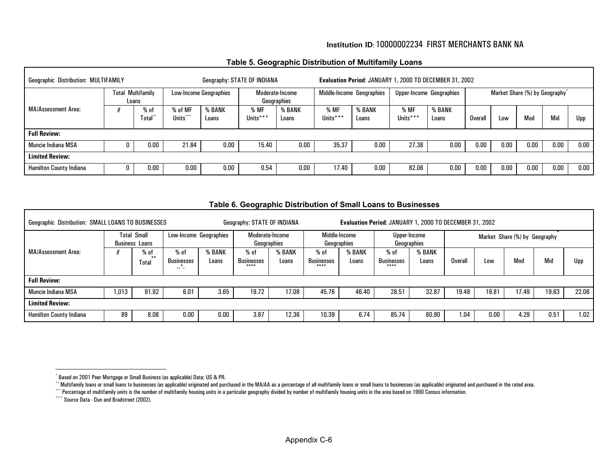#### **Institution ID**: 10000002234 FIRST MERCHANTS BANK NA

#### **Table 5. Geographic Distribution of Multifamily Loans**

<span id="page-33-6"></span><span id="page-33-5"></span><span id="page-33-4"></span><span id="page-33-3"></span><span id="page-33-1"></span><span id="page-33-0"></span>

| <b>Geographic Distribution: MULTIFAMILY</b><br>Geography: STATE OF INDIANA |                               |                              |                                      |                 |                                | Evaluation Period: JANUARY 1, 2000 TO DECEMBER 31, 2002 |                           |                 |                                 |                 |                                |      |      |      |          |
|----------------------------------------------------------------------------|-------------------------------|------------------------------|--------------------------------------|-----------------|--------------------------------|---------------------------------------------------------|---------------------------|-----------------|---------------------------------|-----------------|--------------------------------|------|------|------|----------|
|                                                                            | Multifamily<br>Total<br>Loans |                              | <b>Low-Income Geographies</b>        |                 | Moderate-Income<br>Geographies |                                                         | Middle-Income Geographies |                 | <b>Upper-Income Geographies</b> |                 | Market Share (%) by Geography* |      |      |      |          |
| <b>MA/Assessment Area:</b>                                                 |                               | $%$ of<br>Total <sup>-</sup> | % of MF<br>***<br>Units <sup>'</sup> | % BANK<br>Loans | % MF<br>Units***               | % BANK<br>Loans                                         | % MF<br>Units***          | % BANK<br>Loans | % MF<br>Units***                | % BANK<br>Loans | Overall                        | Low  | Mod  | Mid  | Upp      |
| <b>Full Review:</b>                                                        |                               |                              |                                      |                 |                                |                                                         |                           |                 |                                 |                 |                                |      |      |      |          |
| Muncie Indiana MSA                                                         |                               | 0.00                         | 21.84                                | 0.00            | 15.40                          | 0.00                                                    | 35.37                     | 0.00            | 27.38                           | 0.00            | $0.00\,$                       | 0.00 | 0.00 | 0.00 | $0.00\,$ |
| <b>Limited Review:</b>                                                     |                               |                              |                                      |                 |                                |                                                         |                           |                 |                                 |                 |                                |      |      |      |          |
| <b>Hamilton County Indiana</b>                                             |                               | 0.00                         | 0.00                                 | 0.00            | 0.54                           | 0.00                                                    | 17.40                     | 0.00            | 82.06                           | 0.00            | $0.00\,$                       | 0.00 | 0.00 | 0.00 | 0.00     |

<span id="page-33-2"></span>

|                                                           | Lable 6. Geographic Distribution of Small Loans to Businesses |                        |                          |                 |                                |                 |                                                         |                 |                                      |                 |         |       |                               |       |       |
|-----------------------------------------------------------|---------------------------------------------------------------|------------------------|--------------------------|-----------------|--------------------------------|-----------------|---------------------------------------------------------|-----------------|--------------------------------------|-----------------|---------|-------|-------------------------------|-------|-------|
| <b>Geographic Distribution: SMALL LOANS TO BUSINESSES</b> |                                                               |                        |                          |                 | Geography: STATE OF INDIANA    |                 | Evaluation Period: JANUARY 1, 2000 TO DECEMBER 31, 2002 |                 |                                      |                 |         |       |                               |       |       |
| <b>Total Small</b><br><b>Business Loans</b>               |                                                               |                        | Low-Income Geographies   |                 | Moderate-Income<br>Geographies |                 | Middle-Income<br>Geographies                            |                 | Upper-Income<br>Geographies          |                 |         |       | Market Share (%) by Geography |       |       |
| MA/Assessment Area:                                       |                                                               | % of<br>د به.<br>Total | $%$ of<br>Businesses<br> | % BANK<br>Loans | % of<br>Businesses<br>****     | % BANK<br>Loans | % of<br><b>Businesses</b><br>$***$                      | % BANK<br>Loans | $%$ of<br><b>Businesses</b><br>$***$ | % BANK<br>Loans | Overall | Low   | Mod                           | Mid   | Upp   |
| <b>Full Review:</b>                                       |                                                               |                        |                          |                 |                                |                 |                                                         |                 |                                      |                 |         |       |                               |       |       |
| Muncie Indiana MSA                                        | .013                                                          | 91.92                  | 6.01                     | 3.65            | 19.72                          | 17.08           | 45.76                                                   | 46.40           | 28.51                                | 32.87           | 19.48   | 19.81 | 17.49                         | 19.63 | 22.06 |
| <b>Limited Review:</b>                                    |                                                               |                        |                          |                 |                                |                 |                                                         |                 |                                      |                 |         |       |                               |       |       |
| <b>Hamilton County Indiana</b>                            | 89                                                            | 8.08                   | 0.00                     | 0.00            | 3.87                           | 12.36           | 10.39                                                   | 6.74            | 85.74                                | 80.90           | 1.04    | 0.00  | 4.29                          | 0.51  | 1.02  |

**Table 6. Geographic Distribution of Small Loans to Businesses** 

<sup>\*</sup> Based on 2001 Peer Mortgage or Small Business (as applicable) Data: US & PR.

<sup>\*\*</sup> Multifamily loans or small loans to businesses (as applicable) originated and purchased in the MA/AA as a percentage of all multifamily loans or small loans to businesses (as applicable) originated and purchased in the

<sup>\*\*\*\*</sup> Percentage of multifamily units is the number of multifamily housing units in a particular geography divided by number of multifamily housing units in the area based on 1990 Census information.

<sup>\*\*\*\*</sup> Source Data - Dun and Bradstreet (2002).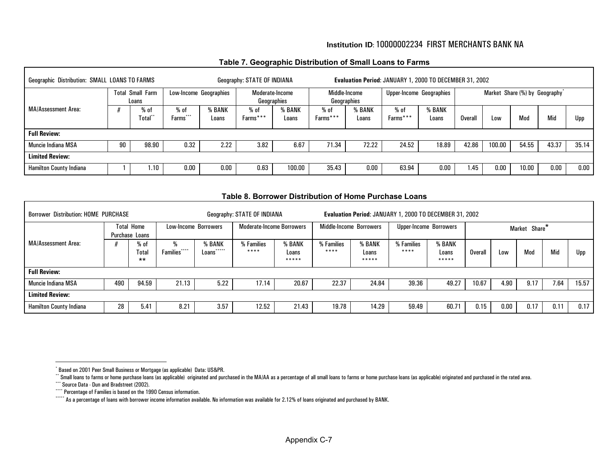#### **Institution ID**: 10000002234 FIRST MERCHANTS BANK NA

#### **Table 7. Geographic Distribution of Small Loans to Farms**

<span id="page-34-6"></span><span id="page-34-5"></span><span id="page-34-4"></span><span id="page-34-3"></span><span id="page-34-2"></span><span id="page-34-1"></span><span id="page-34-0"></span>

| Geographic Distribution: SMALL LOANS TO FARMS |    |                                  |                        |                        | Geography: STATE OF INDIANA |                                |                    |                              | Evaluation Period: JANUARY 1, 2000 TO DECEMBER 31, 2002 |                          |         |                                            |       |       |       |
|-----------------------------------------------|----|----------------------------------|------------------------|------------------------|-----------------------------|--------------------------------|--------------------|------------------------------|---------------------------------------------------------|--------------------------|---------|--------------------------------------------|-------|-------|-------|
|                                               |    | <b>Total Small Farm</b><br>Loans |                        | Low-Income Geographies |                             | Moderate-Income<br>Geographies |                    | Middle-Income<br>Geographies |                                                         | Upper-Income Geographies |         | Market Share (%) by Geography <sup>*</sup> |       |       |       |
| MA/Assessment Area:                           |    | % of<br>Total                    | $%$ of<br>***<br>Farms | % BANK<br>Loans        | $%$ of<br>Farms***          | % BANK<br>Loans                | $%$ of<br>Farms*** | % BANK<br>Loans              | % of<br>Farms***                                        | % BANK<br>Loans          | Overall | Low                                        | Mod   | Mid   | Upp   |
| <b>Full Review:</b>                           |    |                                  |                        |                        |                             |                                |                    |                              |                                                         |                          |         |                                            |       |       |       |
| Muncie Indiana MSA                            | 90 | 98.90                            | 0.32                   | 2.22                   | 3.82                        | 6.67                           | 71.34              | 72.22                        | 24.52                                                   | 18.89                    | 42.86   | 100.00                                     | 54.55 | 43.37 | 35.14 |
| <b>Limited Review:</b>                        |    |                                  |                        |                        |                             |                                |                    |                              |                                                         |                          |         |                                            |       |       |       |
| <b>Hamilton County Indiana</b>                |    | 1.10                             | $0.00\,$               | 0.00                   | 0.63                        | 100.00                         | 35.43              | $0.00\,$                     | 63.94                                                   | 0.00                     | 1.45    | 0.00                                       | 10.00 | 0.00  | 0.00  |

#### **Table 8. Borrower Distribution of Home Purchase Loans**

| <b>Borrower Distribution: HOME PURCHASE</b> |     |                                     |                                      |                          | Geography: STATE OF INDIANA      |                          |                    |                          | Evaluation Period: JANUARY 1, 2000 TO DECEMBER 31, 2002 |                          |         |      |               |      |       |
|---------------------------------------------|-----|-------------------------------------|--------------------------------------|--------------------------|----------------------------------|--------------------------|--------------------|--------------------------|---------------------------------------------------------|--------------------------|---------|------|---------------|------|-------|
|                                             |     | <b>Total Home</b><br>Purchase Loans |                                      | Low-Income Borrowers     | <b>Moderate-Income Borrowers</b> |                          |                    | Middle-Income Borrowers  | <b>Upper-Income Borrowers</b>                           |                          |         |      | Market Share* |      |       |
| MA/Assessment Area:                         |     | $%$ of<br>Total<br>$**$             | ****<br><b>Families</b> <sup>*</sup> | % BANK<br>*****<br>Loans | % Families<br>****               | % BANK<br>Loans<br>***** | % Families<br>**** | % BANK<br>Loans<br>***** | % Families<br>****                                      | % BANK<br>Loans<br>***** | Overall | Low  | Mod           | Mid  | Upp   |
| <b>Full Review:</b>                         |     |                                     |                                      |                          |                                  |                          |                    |                          |                                                         |                          |         |      |               |      |       |
| Muncie Indiana MSA                          | 490 | 94.59                               | 21.13                                | 5.22                     | 17.14                            | 20.67                    | 22.37              | 24.84                    | 39.36                                                   | 49.27                    | 10.67   | 4.90 | 9.17          | 7.64 | 15.57 |
| <b>Limited Review:</b>                      |     |                                     |                                      |                          |                                  |                          |                    |                          |                                                         |                          |         |      |               |      |       |
| <b>Hamilton County Indiana</b>              | 28  | 5.41                                | 8.21                                 | 3.57                     | 12.52                            | 21.43                    | 19.78              | 14.29                    | 59.49                                                   | 60.71                    | 0.15    | 0.00 | 0.17          | 0.11 | 0.17  |

<sup>\*</sup> Based on 2001 Peer Small Business or Mortgage (as applicable) Data: US&PR.

<sup>&</sup>quot;Small loans to farms or home purchase loans (as applicable) originated and purchased in the MA/AA as a percentage of all small loans to farms or home purchase loans (as applicable) originated and purchased in the rated ar

<sup>\*\*\*</sup> Source Data - Dun and Bradstreet (2002).

<sup>\*\*\*\*\*</sup> Percentage of Families is based on the 1990 Census information.

<sup>\*\*\*\*\*</sup> As a percentage of loans with borrower income information available. No information was available for 2.12% of loans originated and purchased by BANK.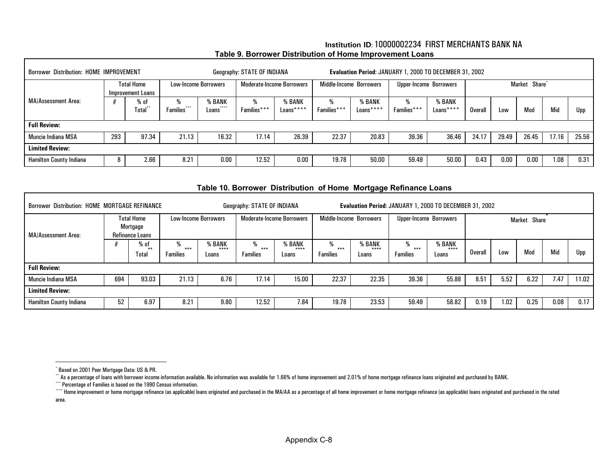<span id="page-35-5"></span><span id="page-35-4"></span><span id="page-35-3"></span><span id="page-35-2"></span><span id="page-35-1"></span><span id="page-35-0"></span>

| <b>Borrower Distribution: HOME IMPROVEMENT</b> |     |                                        |                  |                                      | Geography: STATE OF INDIANA |                                  |                  |                         | Evaluation Period: JANUARY 1, 2000 TO DECEMBER 31, 2002 |                     |         |       |                           |       |       |
|------------------------------------------------|-----|----------------------------------------|------------------|--------------------------------------|-----------------------------|----------------------------------|------------------|-------------------------|---------------------------------------------------------|---------------------|---------|-------|---------------------------|-------|-------|
|                                                |     | <b>Total Home</b><br>Improvement Loans |                  | <b>Low-Income Borrowers</b>          |                             | <b>Moderate-Income Borrowers</b> |                  | Middle-Income Borrowers | Upper-Income Borrowers                                  |                     |         |       | Market Share <sup>*</sup> |       |       |
| <b>MA/Assessment Area:</b>                     |     | $%$ of<br><b>Total</b> **              | ₩<br>Families*** | % BANK<br>****<br>Loans <sup>®</sup> | %<br>Families***            | % BANK<br>Loans****              | %<br>Families*** | % BANK<br>Loans****     | %<br>Families***                                        | % BANK<br>Loans**** | Overall | Low   | Mod                       | Mid   | Upp   |
| <b>Full Review:</b>                            |     |                                        |                  |                                      |                             |                                  |                  |                         |                                                         |                     |         |       |                           |       |       |
| <b>Muncie Indiana MSA</b>                      | 293 | 97.34                                  | 21.13            | 16.32                                | 17.14                       | 26.39                            | 22.37            | 20.83                   | 39.36                                                   | 36.46               | 24.17   | 29.49 | 26.45                     | 17.16 | 25.56 |
| <b>Limited Review:</b>                         |     |                                        |                  |                                      |                             |                                  |                  |                         |                                                         |                     |         |       |                           |       |       |
| <b>Hamilton County Indiana</b>                 | 8   | 2.66                                   | 8.21             | 0.00                                 | 12.52                       | 0.00                             | 19.78            | 50.00                   | 59.49                                                   | 50.00               | 0.43    | 0.00  | 0.00                      | 1.08  | 0.31  |

#### **Institution ID**: 10000002234 FIRST MERCHANTS BANK NA**Table 9. Borrower Distribution of Home Improvement Loans**

#### **Table 10. Borrower Distribution of Home Mortgage Refinance Loans**

| <b>Borrower Distribution: HOME MORTGAGE REFINANCE</b> |     |                                                  |                               |                              | Geography: STATE OF INDIANA   |                                  |                             |                          | Evaluation Period: JANUARY 1, 2000 TO DECEMBER 31, 2002 |                          |         |      |              |      |       |
|-------------------------------------------------------|-----|--------------------------------------------------|-------------------------------|------------------------------|-------------------------------|----------------------------------|-----------------------------|--------------------------|---------------------------------------------------------|--------------------------|---------|------|--------------|------|-------|
| MA/Assessment Area:                                   |     | <b>Total Home</b><br>Mortgage<br>Refinance Loans |                               | <b>Low-Income Borrowers</b>  |                               | <b>Moderate-Income Borrowers</b> | Middle-Income Borrowers     |                          | Upper-Income Borrowers                                  |                          |         |      | Market Share |      |       |
|                                                       |     | % of<br>$***$<br>Total                           | ₩<br>$***$<br><b>Families</b> | <b>BANK</b><br>****<br>Loans | %<br>$***$<br><b>Families</b> | <b>BANK</b><br>****<br>Loans     | %<br>***<br><b>Families</b> | % BANK<br>$***$<br>Loans | ***<br><b>Families</b>                                  | % BANK<br>$***$<br>Loans | Overall | Low  | Mod          | Mid  | Upp   |
| <b>Full Review:</b>                                   |     |                                                  |                               |                              |                               |                                  |                             |                          |                                                         |                          |         |      |              |      |       |
| Muncie Indiana MSA                                    | 694 | 93.03                                            | 21.13                         | 6.76                         | 17.14                         | 15.00                            | 22.37                       | 22.35                    | 39.36                                                   | 55.88                    | 8.51    | 5.52 | 6.22         | 7.47 | 11.02 |
| <b>Limited Review:</b>                                |     |                                                  |                               |                              |                               |                                  |                             |                          |                                                         |                          |         |      |              |      |       |
| <b>Hamilton County Indiana</b>                        | 52  | 6.97                                             | 8.21                          | 9.80                         | 12.52                         | 7.84                             | 19.78                       | 23.53                    | 59.49                                                   | 58.82                    | 0.19    | 1.02 | 0.25         | 0.08 | 0.17  |

I

<sup>\*</sup> Based on 2001 Peer Mortgage Data: US & PR.

<sup>\*\*</sup> As a percentage of loans with borrower income information available. No information was available for 1.66% of home improvement and 2.01% of home mortgage refinance loans originated and purchased by BANK.

<sup>\*\*\*</sup> Percentage of Families is based on the 1990 Census information.

<sup>&</sup>quot;Home improvement or home mortgage refinance (as applicable) loans originated and purchased in the MA/AA as a percentage of all home improvement or home mortgage refinance (as applicable) loans originated and purchased in area.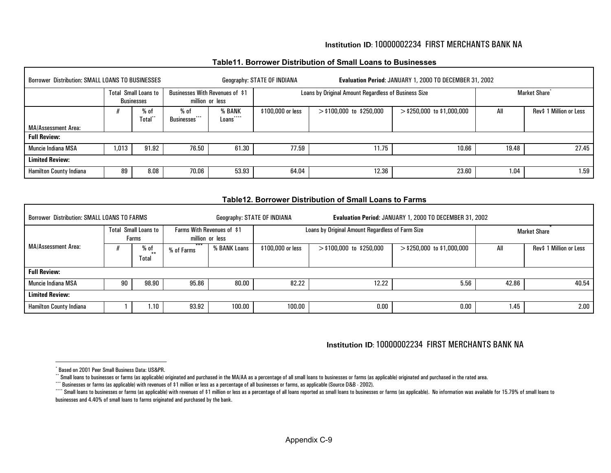#### **Institution ID**: 10000002234 FIRST MERCHANTS BANK NA

#### **Table11. Borrower Distribution of Small Loans to Businesses**

<span id="page-36-5"></span><span id="page-36-4"></span><span id="page-36-3"></span><span id="page-36-2"></span><span id="page-36-1"></span><span id="page-36-0"></span>

| Borrower Distribution: SMALL LOANS TO BUSINESSES |       |                                                  |                                        |                                                    | Geography: STATE OF INDIANA |                                                      | Evaluation Period: JANUARY 1, 2000 TO DECEMBER 31, 2002 |       |                           |
|--------------------------------------------------|-------|--------------------------------------------------|----------------------------------------|----------------------------------------------------|-----------------------------|------------------------------------------------------|---------------------------------------------------------|-------|---------------------------|
|                                                  |       | <b>Total Small Loans to</b><br><b>Businesses</b> |                                        | Businesses With Revenues of \$1<br>million or less |                             | Loans by Original Amount Regardless of Business Size |                                                         |       | Market Share <sup>*</sup> |
|                                                  |       | $%$ of<br>Total"                                 | % of<br>***<br>Businesses <sup>®</sup> | % BANK<br>****<br>Loans                            | \$100,000 or less           | $>$ \$100,000 to \$250,000                           | $>$ \$250,000 to \$1,000,000                            | All   | Rev\$ 1 Million or Less   |
| MA/Assessment Area:                              |       |                                                  |                                        |                                                    |                             |                                                      |                                                         |       |                           |
| <b>Full Review:</b>                              |       |                                                  |                                        |                                                    |                             |                                                      |                                                         |       |                           |
| <b>Muncie Indiana MSA</b>                        | 1,013 | 91.92                                            | 76.50                                  | 61.30                                              | 77.59                       | 11.75                                                | 10.66                                                   | 19.48 | 27.45                     |
| <b>Limited Review:</b>                           |       |                                                  |                                        |                                                    |                             |                                                      |                                                         |       |                           |
| <b>Hamilton County Indiana</b>                   | 89    | 8.08                                             | 70.06                                  | 53.93                                              | 64.04                       | 12.36                                                | 23.60                                                   | 1.04  | 1.59                      |

#### **Table12. Borrower Distribution of Small Loans to Farms**

| Borrower Distribution: SMALL LOANS TO FARMS |       |                         |                     |                                               | Geography: STATE OF INDIANA |                                                  | Evaluation Period: JANUARY 1, 2000 TO DECEMBER 31, 2002 |       |                         |
|---------------------------------------------|-------|-------------------------|---------------------|-----------------------------------------------|-----------------------------|--------------------------------------------------|---------------------------------------------------------|-------|-------------------------|
|                                             | Total | Small Loans to<br>Farms |                     | Farms With Revenues of \$1<br>million or less |                             | Loans by Original Amount Regardless of Farm Size |                                                         |       | <b>Market Share</b>     |
| <b>MA/Assessment Area:</b>                  |       | % of<br>$***$<br>Total  | $***$<br>% of Farms | % BANK Loans                                  | \$100,000 or less           | $>$ \$100,000 to \$250,000                       | $>$ \$250,000 to \$1,000,000                            | All   | Rev\$ 1 Million or Less |
| <b>Full Review:</b>                         |       |                         |                     |                                               |                             |                                                  |                                                         |       |                         |
| Muncie Indiana MSA                          | 90    | 98.90                   | 95.86               | 80.00                                         | 82.22                       | 12.22                                            | 5.56                                                    | 42.86 | 40.54                   |
| <b>Limited Review:</b>                      |       |                         |                     |                                               |                             |                                                  |                                                         |       |                         |
| <b>Hamilton County Indiana</b>              |       | 1.10                    | 93.92               | 100.00                                        | 100.00                      | 0.00                                             | 0.00                                                    | 1.45  | 2.00                    |

#### **Institution ID**: 10000002234 FIRST MERCHANTS BANK NA

<sup>\*</sup> Based on 2001 Peer Small Business Data: US&PR.

<sup>\*\*</sup> Small loans to businesses or farms (as applicable) originated and purchased in the MA/AA as a percentage of all small loans to businesses or farms (as applicable) originated and purchased in the rated area.

<sup>\*\*\*</sup> Businesses or farms (as applicable) with revenues of \$1 million or less as a percentage of all businesses or farms, as applicable (Source D&B - 2002).

<sup>&</sup>quot;" Small loans to businesses or farms (as applicable) with revenues of \$1 million or less as a percentage of all loans reported as small loans to businesses or farms (as applicable). No information was available for 15.79% businesses and 4.40% of small loans to farms originated and purchased by the bank.